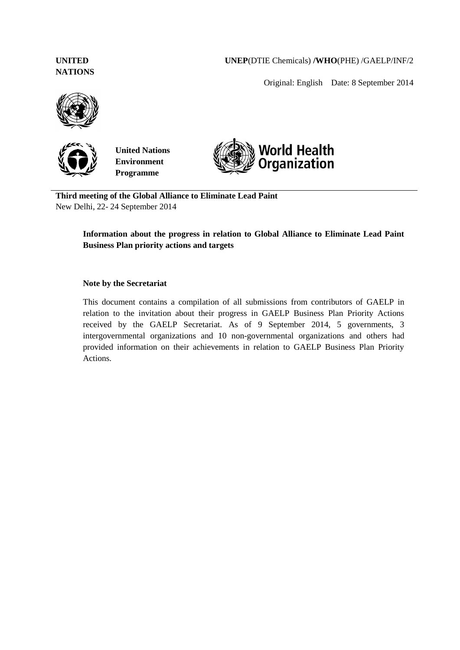# **UNITED NATIONS**

**UNEP**(DTIE Chemicals) **/WHO**(PHE) /GAELP/INF/2

Original: English Date: 8 September 2014





**United Nations Environment Programme**



**Third meeting of the Global Alliance to Eliminate Lead Paint** New Delhi, 22- 24 September 2014

# **Information about the progress in relation to Global Alliance to Eliminate Lead Paint Business Plan priority actions and targets**

#### **Note by the Secretariat**

This document contains a compilation of all submissions from contributors of GAELP in relation to the invitation about their progress in GAELP Business Plan Priority Actions received by the GAELP Secretariat. As of 9 September 2014, 5 governments, 3 intergovernmental organizations and 10 non-governmental organizations and others had provided information on their achievements in relation to GAELP Business Plan Priority Actions.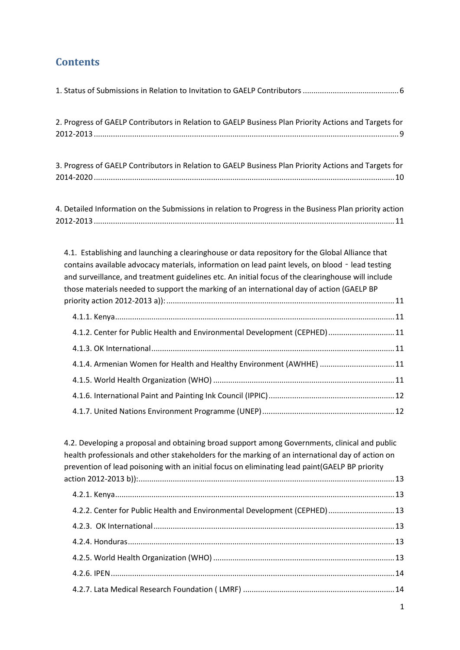# **Contents**

| 2. Progress of GAELP Contributors in Relation to GAELP Business Plan Priority Actions and Targets for                                                                                                                                                                                                                                                                                                  |
|--------------------------------------------------------------------------------------------------------------------------------------------------------------------------------------------------------------------------------------------------------------------------------------------------------------------------------------------------------------------------------------------------------|
|                                                                                                                                                                                                                                                                                                                                                                                                        |
|                                                                                                                                                                                                                                                                                                                                                                                                        |
| 3. Progress of GAELP Contributors in Relation to GAELP Business Plan Priority Actions and Targets for                                                                                                                                                                                                                                                                                                  |
|                                                                                                                                                                                                                                                                                                                                                                                                        |
| 4. Detailed Information on the Submissions in relation to Progress in the Business Plan priority action                                                                                                                                                                                                                                                                                                |
|                                                                                                                                                                                                                                                                                                                                                                                                        |
| 4.1. Establishing and launching a clearinghouse or data repository for the Global Alliance that<br>contains available advocacy materials, information on lead paint levels, on blood - lead testing<br>and surveillance, and treatment guidelines etc. An initial focus of the clearinghouse will include<br>those materials needed to support the marking of an international day of action (GAELP BP |
|                                                                                                                                                                                                                                                                                                                                                                                                        |
| 4.1.2. Center for Public Health and Environmental Development (CEPHED)  11                                                                                                                                                                                                                                                                                                                             |
|                                                                                                                                                                                                                                                                                                                                                                                                        |
| 4.1.4. Armenian Women for Health and Healthy Environment (AWHHE)  11                                                                                                                                                                                                                                                                                                                                   |
|                                                                                                                                                                                                                                                                                                                                                                                                        |
|                                                                                                                                                                                                                                                                                                                                                                                                        |
|                                                                                                                                                                                                                                                                                                                                                                                                        |
| 4.2. Developing a proposal and obtaining broad support among Governments, clinical and public<br>health professionals and other stakeholders for the marking of an international day of action on<br>prevention of lead poisoning with an initial focus on eliminating lead paint(GAELP BP priority                                                                                                    |
|                                                                                                                                                                                                                                                                                                                                                                                                        |
| 4.2.2. Center for Public Health and Environmental Development (CEPHED)  13                                                                                                                                                                                                                                                                                                                             |
|                                                                                                                                                                                                                                                                                                                                                                                                        |
|                                                                                                                                                                                                                                                                                                                                                                                                        |
|                                                                                                                                                                                                                                                                                                                                                                                                        |
|                                                                                                                                                                                                                                                                                                                                                                                                        |
|                                                                                                                                                                                                                                                                                                                                                                                                        |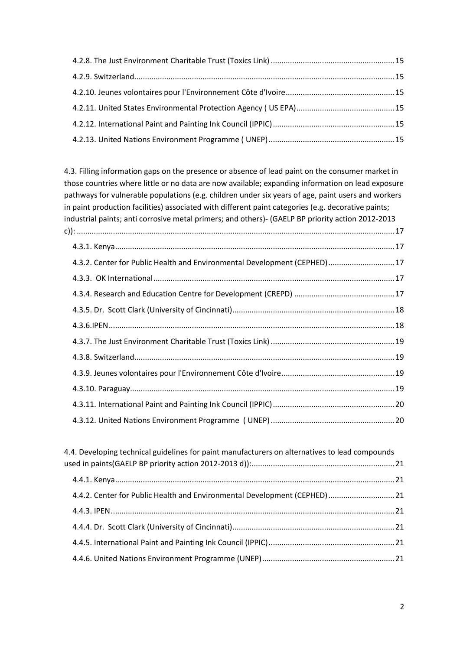[4.3. Filling information gaps on the presence or absence of lead paint on the consumer market in](#page-17-0)  [those countries where little or no data are now available; expanding information on lead exposure](#page-17-0)  [pathways for vulnerable populations \(e.g. children under six years of age, paint users and workers](#page-17-0)  in paint production facilities) associated with different paint categories (e.g. decorative paints; [industrial paints; anti corrosive metal primers; and others\)-](#page-17-0) (GAELP BP priority action 2012-2013 c)): [.....................................................................................................................................................17](#page-17-0)

| 4.3.2. Center for Public Health and Environmental Development (CEPHED) 17 |  |
|---------------------------------------------------------------------------|--|
|                                                                           |  |
|                                                                           |  |
|                                                                           |  |
|                                                                           |  |
|                                                                           |  |
|                                                                           |  |
|                                                                           |  |
|                                                                           |  |
|                                                                           |  |
|                                                                           |  |

| 4.4. Developing technical guidelines for paint manufacturers on alternatives to lead compounds |  |
|------------------------------------------------------------------------------------------------|--|
|                                                                                                |  |
|                                                                                                |  |
| 4.4.2. Center for Public Health and Environmental Development (CEPHED) 21                      |  |
|                                                                                                |  |
|                                                                                                |  |
|                                                                                                |  |
|                                                                                                |  |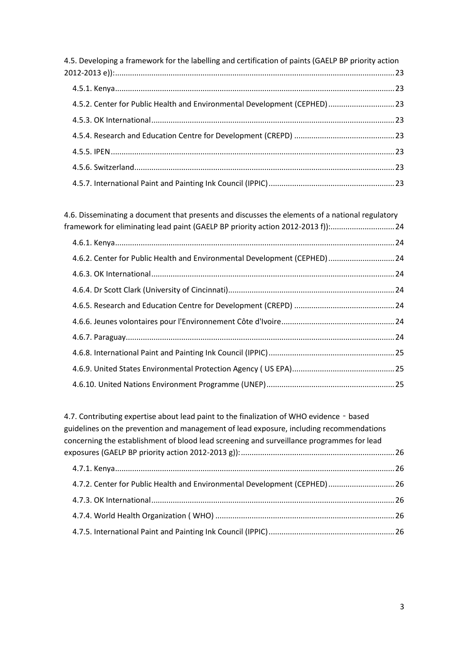| 4.5. Developing a framework for the labelling and certification of paints (GAELP BP priority action |  |
|-----------------------------------------------------------------------------------------------------|--|
|                                                                                                     |  |
|                                                                                                     |  |
| 4.5.2. Center for Public Health and Environmental Development (CEPHED) 23                           |  |
|                                                                                                     |  |
|                                                                                                     |  |
|                                                                                                     |  |
|                                                                                                     |  |
|                                                                                                     |  |

[4.6. Disseminating a document that presents and discusses the elements of a national regulatory](#page-24-0)  [framework for eliminating lead paint \(GAELP BP priority action 2012-2013 f\)\):..............................24](#page-24-0)

| 4.6.2. Center for Public Health and Environmental Development (CEPHED) 24 |  |
|---------------------------------------------------------------------------|--|
|                                                                           |  |
|                                                                           |  |
|                                                                           |  |
|                                                                           |  |
|                                                                           |  |
|                                                                           |  |
|                                                                           |  |
|                                                                           |  |

| 4.7. Contributing expertise about lead paint to the finalization of WHO evidence - based  |  |
|-------------------------------------------------------------------------------------------|--|
| guidelines on the prevention and management of lead exposure, including recommendations   |  |
| concerning the establishment of blood lead screening and surveillance programmes for lead |  |
|                                                                                           |  |
|                                                                                           |  |
| 4.7.2. Center for Public Health and Environmental Development (CEPHED) 26                 |  |
|                                                                                           |  |
|                                                                                           |  |
|                                                                                           |  |
|                                                                                           |  |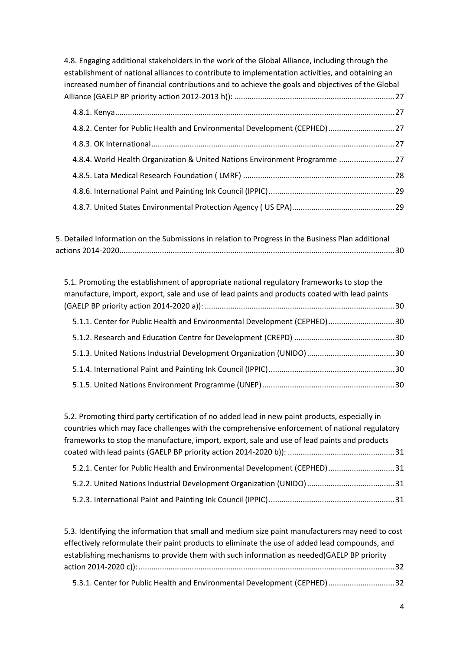| 4.8. Engaging additional stakeholders in the work of the Global Alliance, including through the<br>establishment of national alliances to contribute to implementation activities, and obtaining an<br>increased number of financial contributions and to achieve the goals and objectives of the Global |  |
|----------------------------------------------------------------------------------------------------------------------------------------------------------------------------------------------------------------------------------------------------------------------------------------------------------|--|
|                                                                                                                                                                                                                                                                                                          |  |
| 4.8.2. Center for Public Health and Environmental Development (CEPHED) 27                                                                                                                                                                                                                                |  |
|                                                                                                                                                                                                                                                                                                          |  |
| 4.8.4. World Health Organization & United Nations Environment Programme 27                                                                                                                                                                                                                               |  |
|                                                                                                                                                                                                                                                                                                          |  |
|                                                                                                                                                                                                                                                                                                          |  |
|                                                                                                                                                                                                                                                                                                          |  |

[5. Detailed Information on the Submissions in relation to Progress in the Business Plan additional](#page-30-0)  [actions 2014-2020.................................................................................................................................30](#page-30-0)

[5.1. Promoting the establishment of appropriate national regulatory frameworks to stop the](#page-30-1)  [manufacture, import, export, sale and use of lead paints and products coated with lead paints](#page-30-1)  (GAELP BP priority action 2014-2020 a)): [.........................................................................................30](#page-30-1) [5.1.1. Center for Public Health and Environmental Development \(CEPHED\)...............................30](#page-30-2) [5.1.2. Research and Education Centre for Development \(CREPD\)](#page-30-3) ...............................................30 [5.1.3. United Nations Industrial Development Organization \(UNIDO\).........................................30](#page-30-4) [5.1.4. International Paint and Painting Ink Council \(IPPIC\)...........................................................30](#page-30-5) [5.1.5. United Nations Environment Programme \(UNEP\)..............................................................30](#page-30-6)

| 5.2. Promoting third party certification of no added lead in new paint products, especially in |  |
|------------------------------------------------------------------------------------------------|--|
| countries which may face challenges with the comprehensive enforcement of national regulatory  |  |
| frameworks to stop the manufacture, import, export, sale and use of lead paints and products   |  |
|                                                                                                |  |
| 5.2.1. Center for Public Health and Environmental Development (CEPHED) 31                      |  |
|                                                                                                |  |
|                                                                                                |  |

[5.3. Identifying the information that small and medium size paint manufacturers may need to cost](#page-32-0)  [effectively reformulate their paint products to eliminate the use of added lead compounds, and](#page-32-0)  [establishing mechanisms to provide them with such information as needed\(GAELP BP priority](#page-32-0)  [action 2014-2020 c\)\):........................................................................................................................32](#page-32-0) [5.3.1. Center for Public Health and Environmental Development \(CEPHED\)...............................32](#page-32-1)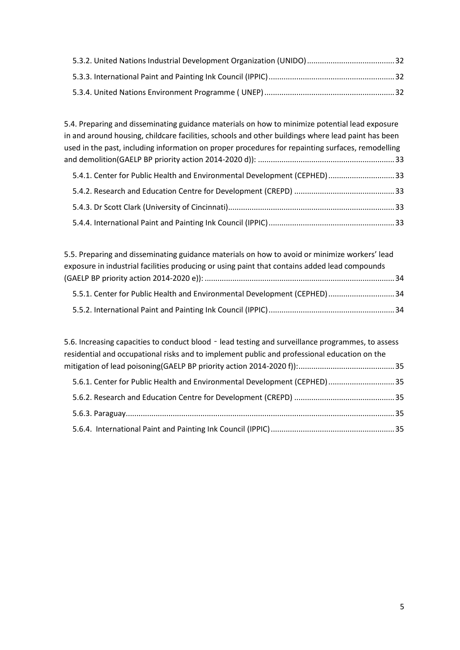[5.4. Preparing and disseminating guidance materials on how to minimize potential lead exposure](#page-33-0)  [in and around housing, childcare facilities, schools and other](#page-33-0) buildings where lead paint has been [used in the past, including information on proper procedures for repainting surfaces, remodelling](#page-33-0)  [and demolition\(GAELP BP priority action 2014-2020 d\)\):](#page-33-0) ................................................................33 [5.4.1. Center for Public Health and Environmental Development \(CEPHED\)...............................33](#page-33-1) [5.4.2. Research and Education Centre for Development \(CREPD\)](#page-33-2) ...............................................33 [5.4.3. Dr Scott Clark \(University of Cincinnati\)..............................................................................33](#page-33-3) [5.4.4. International Paint and Painting Ink Council \(IPPIC\)...........................................................33](#page-33-4)

| 5.5. Preparing and disseminating guidance materials on how to avoid or minimize workers' lead |  |
|-----------------------------------------------------------------------------------------------|--|
| exposure in industrial facilities producing or using paint that contains added lead compounds |  |
|                                                                                               |  |
| 5.5.1. Center for Public Health and Environmental Development (CEPHED)  34                    |  |
|                                                                                               |  |

| 5.6. Increasing capacities to conduct blood - lead testing and surveillance programmes, to assess<br>residential and occupational risks and to implement public and professional education on the |  |
|---------------------------------------------------------------------------------------------------------------------------------------------------------------------------------------------------|--|
|                                                                                                                                                                                                   |  |
| 5.6.1. Center for Public Health and Environmental Development (CEPHED) 35                                                                                                                         |  |
|                                                                                                                                                                                                   |  |
|                                                                                                                                                                                                   |  |
|                                                                                                                                                                                                   |  |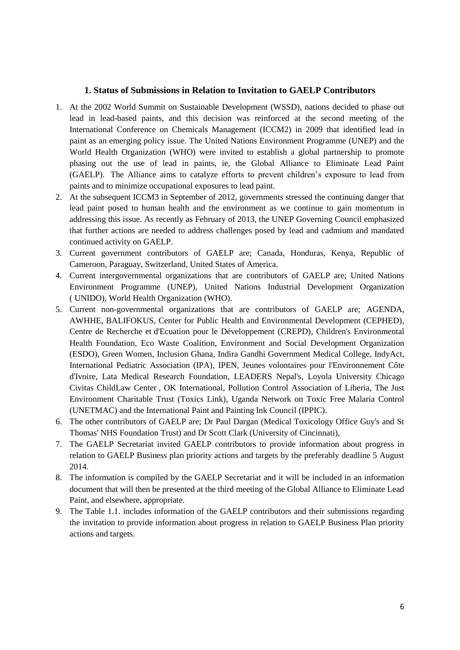#### <span id="page-6-0"></span>**1. Status of Submissions in Relation to Invitation to GAELP Contributors**

- 1. At the 2002 World Summit on Sustainable Development (WSSD), nations decided to phase out lead in lead-based paints, and this decision was reinforced at the second meeting of the International Conference on Chemicals Management (ICCM2) in 2009 that identified lead in paint as an emerging policy issue. The United Nations Environment Programme (UNEP) and the World Health Organization (WHO) were invited to establish a global partnership to promote phasing out the use of lead in paints, ie, the Global Alliance to Eliminate Lead Paint (GAELP). The Alliance aims to catalyze efforts to prevent children's exposure to lead from paints and to minimize occupational exposures to lead paint.
- 2. At the subsequent ICCM3 in September of 2012, governments stressed the continuing danger that lead paint posed to human health and the environment as we continue to gain momentum in addressing this issue. As recently as February of 2013, the UNEP Governing Council emphasized that further actions are needed to address challenges posed by lead and cadmium and mandated continued activity on GAELP.
- 3. Current government contributors of GAELP are; Canada, Honduras, Kenya, Republic of Cameroon, Paraguay, Switzerland, United States of America.
- 4. Current intergovernmental organizations that are contributors of GAELP are; United Nations Environment Programme (UNEP), United Nations Industrial Development Organization ( UNIDO), World Health Organization (WHO).
- 5. Current non-governmental organizations that are contributors of GAELP are; [AGENDA,](http://www.unep.org/chemicalsandwaste/Portals/9/Lead_Cadmium/docs/GAELP/Contributors%20Letters/AGENDA.pdf) [AWHHE,](http://www.unep.org/chemicalsandwaste/Portals/9/Lead_Cadmium/docs/GAELP/Contributors%20Letters/AWHHE%20Letter%20and%20Form.pdf) [BALIFOKUS,](http://www.unep.org/chemicalsandwaste/Portals/9/Lead_Cadmium/docs/GAELP/Contributors%20Letters/Balifokux%20letter.pdf) [Center for Public Health and Environmental Development \(CEPHED\),](http://www.unep.org/chemicalsandwaste/Portals/9/Lead_Cadmium/docs/GAELP/Contributors%20Letters/CEPHED%20Letter%20and%20Form.pdf) Centre de Recherche et [d'Ecuation pour le Développement \(CREPD\),](http://www.unep.org/chemicalsandwaste/Portals/9/Lead_Cadmium/docs/GAELP/Contributors%20Letters/CREPD%20Letter%20and%20Form.pdf) [Children's Environmental](http://www.unep.org/chemicalsandwaste/Portals/9/Lead_Cadmium/docs/GAELP/Contributors%20Letters/Children%20Environmental%20Health%20Foundation%20Letter%20and%20Form.pdf)  [Health Foundation,](http://www.unep.org/chemicalsandwaste/Portals/9/Lead_Cadmium/docs/GAELP/Contributors%20Letters/Children%20Environmental%20Health%20Foundation%20Letter%20and%20Form.pdf) [Eco Waste Coalition,](http://www.unep.org/chemicalsandwaste/Portals/9/Lead_Cadmium/docs/GAELP/Contributors%20Letters/Eco%20Waste%20Coalition%20Letter.pdf) [Environment and Social Development Organization](http://www.unep.org/chemicalsandwaste/Portals/9/Lead_Cadmium/docs/GAELP/Contributors%20Letters/Environement%20and%20Social%20Development%20Organization%20Letter.pdf)  [\(ESDO\),](http://www.unep.org/chemicalsandwaste/Portals/9/Lead_Cadmium/docs/GAELP/Contributors%20Letters/Environement%20and%20Social%20Development%20Organization%20Letter.pdf) [Green Women,](http://www.unep.org/chemicalsandwaste/Portals/9/Lead_Cadmium/docs/GAELP/Contributors%20Letters/GreenWomen%20Letter%20and%20Form.pdf) [Inclusion Ghana,](http://www.unep.org/chemicalsandwaste/Portals/9/Lead_Cadmium/docs/GAELP/Contributors%20Letters/Inclusion%20Ghana.pdf) [Indira Gandhi Government Medical College,](http://www.unep.org/chemicalsandwaste/Portals/9/Lead_Cadmium/docs/GAELP/Contributors%20Letters/Department%20of%20Pediatrics%20Indira%20Gandhi%20Government%20Medical%20College_India.pdf) [IndyAct,](http://www.unep.org/chemicalsandwaste/Portals/9/Lead_Cadmium/docs/GAELP/Contributors%20Letters/IndyACT.pdf) [International Pediatric Association \(IPA\),](http://www.unep.org/chemicalsandwaste/Portals/9/Lead_Cadmium/docs/GAELP/Contributors%20Letters/Int.%20Pediatric%20Association.May2014.pdf) [IPEN,](http://www.unep.org/chemicalsandwaste/Portals/9/Lead_Cadmium/docs/GAELP/Contributors%20Letters/IPEN%20Letter%20and%20Form.pdf) [Jeunes volontaires pour l'Environnement Côte](http://www.unep.org/chemicalsandwaste/Portals/9/Lead_Cadmium/docs/GAELP/Contributors%20Letters/Jeune%20Volontaire%20pour%20l)  [d'Ivoire,](http://www.unep.org/chemicalsandwaste/Portals/9/Lead_Cadmium/docs/GAELP/Contributors%20Letters/Jeune%20Volontaire%20pour%20l) [Lata Medical Research Foundation,](http://www.unep.org/chemicalsandwaste/Portals/9/Lead_Cadmium/docs/GAELP/Contributors%20Letters/Lata%20Medical%20Research%20Foundation_India.pdf) [LEADERS Nepal's,](http://www.unep.org/chemicalsandwaste/Portals/9/Lead_Cadmium/docs/GAELP/Contributors%20Letters/Nepal.May2014.pdf) Loyola University Chicago Civitas ChildLaw Center , [OK International,](http://www.unep.org/chemicalsandwaste/Portals/9/Lead_Cadmium/docs/GAELP/Contributors%20Letters/OK_International_Contributor_GAELP.pdf) [Pollution Control Association of Liberia,](http://www.unep.org/chemicalsandwaste/Portals/9/Lead_Cadmium/docs/GAELP/Contributors%20Letters/Pollution%20control%20association%20of%20liberia.pdf) [The Just](http://www.unep.org/chemicalsandwaste/Portals/9/Lead_Cadmium/docs/GAELP/Contributors%20Letters/Toxics%20Link%20Letter.pdf)  [Environment Charitable Trust \(Toxics Link\),](http://www.unep.org/chemicalsandwaste/Portals/9/Lead_Cadmium/docs/GAELP/Contributors%20Letters/Toxics%20Link%20Letter.pdf) [Uganda Network on Toxic Free Malaria Control](http://www.unep.org/chemicalsandwaste/Portals/9/Lead_Cadmium/docs/GAELP/Contributors%20Letters/UNETMAC_Uganda%20Letter%20and%20Form.pdf)  [\(UNETMAC\)](http://www.unep.org/chemicalsandwaste/Portals/9/Lead_Cadmium/docs/GAELP/Contributors%20Letters/UNETMAC_Uganda%20Letter%20and%20Form.pdf) and the [International Paint and Painting Ink Council \(IPPIC\).](http://www.unep.org/chemicalsandwaste/Portals/9/Lead_Cadmium/docs/GAELP/Contributors%20Letters/IPPIC%20GAELP%20Contribution%20Letter.pdf)
- 6. The other contributors of GAELP are; [Dr Paul Dargan \(Medical Toxicology Office Guy's and St](http://www.unep.org/chemicalsandwaste/Portals/9/Lead_Cadmium/docs/GAELP/Contributors%20Letters/Toxicology%20Office%20Guy)  [Thomas' NHS Foundation Trust\)](http://www.unep.org/chemicalsandwaste/Portals/9/Lead_Cadmium/docs/GAELP/Contributors%20Letters/Toxicology%20Office%20Guy) and [Dr Scott Clark \(University of Cincinnati\),](http://www.unep.org/chemicalsandwaste/Portals/9/Lead_Cadmium/docs/GAELP/Contributors%20Letters/Scott_Clark_Univ_Cincinnati_Form_Letter.pdf)
- 7. The GAELP Secretariat invited GAELP contributors to provide information about progress in relation to GAELP Business plan priority actions and targets by the preferably deadline 5 August 2014.
- 8. The information is compiled by the GAELP Secretariat and it will be included in an information document that will then be presented at the third meeting of the Global Alliance to Eliminate Lead Paint, and elsewhere, appropriate.
- 9. The Table 1.1. includes information of the GAELP contributors and their submissions regarding the invitation to provide information about progress in relation to GAELP Business Plan priority actions and targets.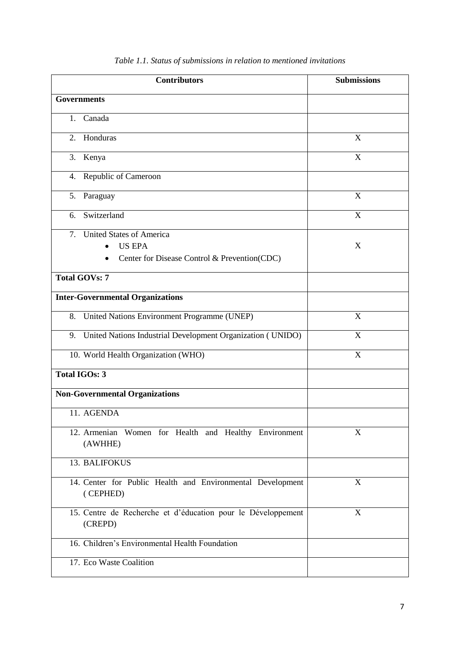| <b>Contributors</b>                                                                                         | <b>Submissions</b>      |  |  |
|-------------------------------------------------------------------------------------------------------------|-------------------------|--|--|
| <b>Governments</b>                                                                                          |                         |  |  |
| Canada<br>1.                                                                                                |                         |  |  |
| Honduras<br>2.                                                                                              | X                       |  |  |
| 3. Kenya                                                                                                    | X                       |  |  |
| 4. Republic of Cameroon                                                                                     |                         |  |  |
| 5. Paraguay                                                                                                 | X                       |  |  |
| 6. Switzerland                                                                                              | X                       |  |  |
| <b>United States of America</b><br>7.<br><b>US EPA</b><br>Center for Disease Control & Prevention(CDC)<br>٠ | X                       |  |  |
| <b>Total GOVs: 7</b>                                                                                        |                         |  |  |
| <b>Inter-Governmental Organizations</b>                                                                     |                         |  |  |
| 8. United Nations Environment Programme (UNEP)                                                              | X                       |  |  |
| 9. United Nations Industrial Development Organization (UNIDO)                                               | X                       |  |  |
| 10. World Health Organization (WHO)                                                                         | $\overline{\mathbf{X}}$ |  |  |
| <b>Total IGOs: 3</b>                                                                                        |                         |  |  |
| <b>Non-Governmental Organizations</b>                                                                       |                         |  |  |
| 11. AGENDA                                                                                                  |                         |  |  |
| 12. Armenian Women for Health and Healthy Environment<br>(AWHHE)                                            | X                       |  |  |
| 13. BALIFOKUS                                                                                               |                         |  |  |
| 14. Center for Public Health and Environmental Development<br>(CEPHED)                                      | X                       |  |  |
| 15. Centre de Recherche et d'éducation pour le Développement<br>(CREPD)                                     | X                       |  |  |
| 16. Children's Environmental Health Foundation                                                              |                         |  |  |
| 17. Eco Waste Coalition                                                                                     |                         |  |  |

*Table 1.1. Status of submissions in relation to mentioned invitations*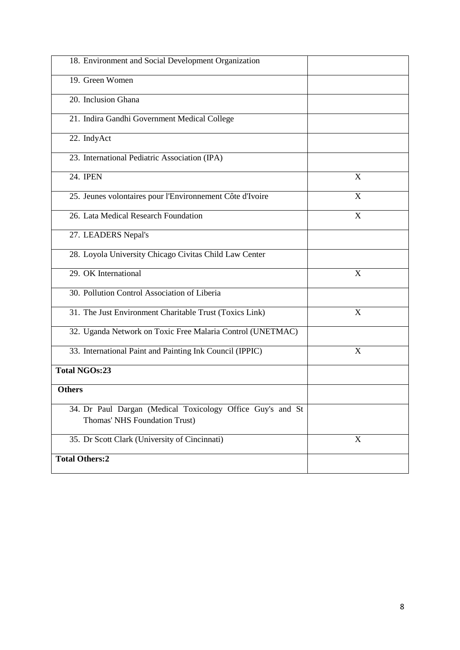| 18. Environment and Social Development Organization        |                           |
|------------------------------------------------------------|---------------------------|
| 19. Green Women                                            |                           |
| 20. Inclusion Ghana                                        |                           |
| 21. Indira Gandhi Government Medical College               |                           |
| 22. IndyAct                                                |                           |
| 23. International Pediatric Association (IPA)              |                           |
| 24. IPEN                                                   | X                         |
| 25. Jeunes volontaires pour l'Environnement Côte d'Ivoire  | X                         |
| 26. Lata Medical Research Foundation                       | X                         |
| 27. LEADERS Nepal's                                        |                           |
| 28. Loyola University Chicago Civitas Child Law Center     |                           |
| 29. OK International                                       | X                         |
| 30. Pollution Control Association of Liberia               |                           |
| 31. The Just Environment Charitable Trust (Toxics Link)    | $\boldsymbol{\mathrm{X}}$ |
| 32. Uganda Network on Toxic Free Malaria Control (UNETMAC) |                           |
| 33. International Paint and Painting Ink Council (IPPIC)   | X                         |
| <b>Total NGOs:23</b>                                       |                           |
| <b>Others</b>                                              |                           |
| 34. Dr Paul Dargan (Medical Toxicology Office Guy's and St |                           |
| Thomas' NHS Foundation Trust)                              |                           |
| 35. Dr Scott Clark (University of Cincinnati)              | X                         |
| <b>Total Others:2</b>                                      |                           |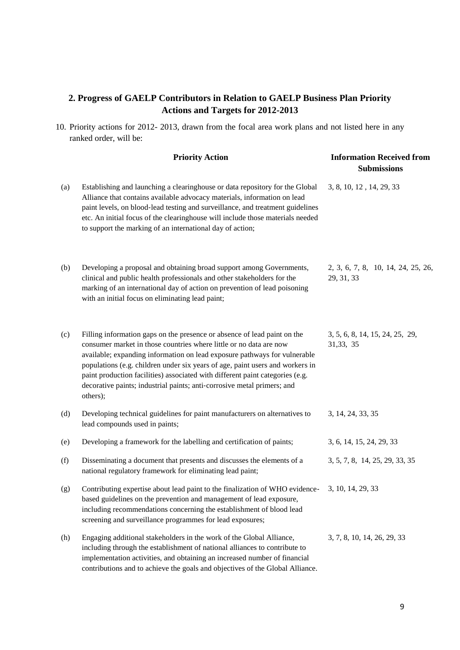# <span id="page-9-0"></span>**2. Progress of GAELP Contributors in Relation to GAELP Business Plan Priority Actions and Targets for 2012-2013**

10. Priority actions for 2012- 2013, drawn from the focal area work plans and not listed here in any ranked order, will be:

|     | <b>Priority Action</b>                                                                                                                                                                                                                                                                                                                                                                                                                                                               | <b>Information Received from</b><br><b>Submissions</b> |  |  |
|-----|--------------------------------------------------------------------------------------------------------------------------------------------------------------------------------------------------------------------------------------------------------------------------------------------------------------------------------------------------------------------------------------------------------------------------------------------------------------------------------------|--------------------------------------------------------|--|--|
| (a) | Establishing and launching a clearinghouse or data repository for the Global<br>Alliance that contains available advocacy materials, information on lead<br>paint levels, on blood-lead testing and surveillance, and treatment guidelines<br>etc. An initial focus of the clearinghouse will include those materials needed<br>to support the marking of an international day of action;                                                                                            | 3, 8, 10, 12, 14, 29, 33                               |  |  |
| (b) | Developing a proposal and obtaining broad support among Governments,<br>clinical and public health professionals and other stakeholders for the<br>marking of an international day of action on prevention of lead poisoning<br>with an initial focus on eliminating lead paint;                                                                                                                                                                                                     | 2, 3, 6, 7, 8, 10, 14, 24, 25, 26,<br>29, 31, 33       |  |  |
| (c) | Filling information gaps on the presence or absence of lead paint on the<br>consumer market in those countries where little or no data are now<br>available; expanding information on lead exposure pathways for vulnerable<br>populations (e.g. children under six years of age, paint users and workers in<br>paint production facilities) associated with different paint categories (e.g.<br>decorative paints; industrial paints; anti-corrosive metal primers; and<br>others); | 3, 5, 6, 8, 14, 15, 24, 25, 29,<br>31, 33, 35          |  |  |
| (d) | Developing technical guidelines for paint manufacturers on alternatives to<br>lead compounds used in paints;                                                                                                                                                                                                                                                                                                                                                                         | 3, 14, 24, 33, 35                                      |  |  |
| (e) | Developing a framework for the labelling and certification of paints;                                                                                                                                                                                                                                                                                                                                                                                                                | 3, 6, 14, 15, 24, 29, 33                               |  |  |
| (f) | Disseminating a document that presents and discusses the elements of a<br>national regulatory framework for eliminating lead paint;                                                                                                                                                                                                                                                                                                                                                  | 3, 5, 7, 8, 14, 25, 29, 33, 35                         |  |  |
| (g) | Contributing expertise about lead paint to the finalization of WHO evidence-<br>based guidelines on the prevention and management of lead exposure,<br>including recommendations concerning the establishment of blood lead<br>screening and surveillance programmes for lead exposures;                                                                                                                                                                                             | 3, 10, 14, 29, 33                                      |  |  |
| (h) | Engaging additional stakeholders in the work of the Global Alliance,<br>including through the establishment of national alliances to contribute to<br>implementation activities, and obtaining an increased number of financial<br>contributions and to achieve the goals and objectives of the Global Alliance.                                                                                                                                                                     | 3, 7, 8, 10, 14, 26, 29, 33                            |  |  |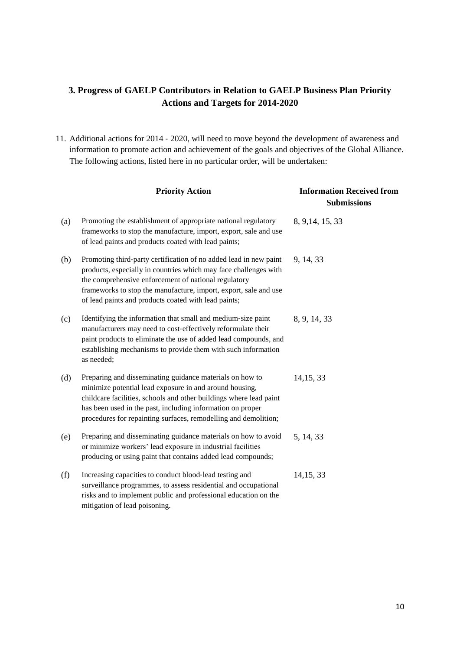# <span id="page-10-0"></span>**3. Progress of GAELP Contributors in Relation to GAELP Business Plan Priority Actions and Targets for 2014-2020**

11. Additional actions for 2014 ‐ 2020, will need to move beyond the development of awareness and information to promote action and achievement of the goals and objectives of the Global Alliance. The following actions, listed here in no particular order, will be undertaken:

|     | <b>Priority Action</b>                                                                                                                                                                                                                                                                                                     | <b>Information Received from</b><br><b>Submissions</b> |  |  |
|-----|----------------------------------------------------------------------------------------------------------------------------------------------------------------------------------------------------------------------------------------------------------------------------------------------------------------------------|--------------------------------------------------------|--|--|
| (a) | Promoting the establishment of appropriate national regulatory<br>frameworks to stop the manufacture, import, export, sale and use<br>of lead paints and products coated with lead paints;                                                                                                                                 | 8, 9, 14, 15, 33                                       |  |  |
| (b) | Promoting third-party certification of no added lead in new paint<br>products, especially in countries which may face challenges with<br>the comprehensive enforcement of national regulatory<br>frameworks to stop the manufacture, import, export, sale and use<br>of lead paints and products coated with lead paints;  | 9, 14, 33                                              |  |  |
| (c) | Identifying the information that small and medium-size paint<br>manufacturers may need to cost-effectively reformulate their<br>paint products to eliminate the use of added lead compounds, and<br>establishing mechanisms to provide them with such information<br>as needed;                                            | 8, 9, 14, 33                                           |  |  |
| (d) | Preparing and disseminating guidance materials on how to<br>minimize potential lead exposure in and around housing,<br>childcare facilities, schools and other buildings where lead paint<br>has been used in the past, including information on proper<br>procedures for repainting surfaces, remodelling and demolition; | 14, 15, 33                                             |  |  |
| (e) | Preparing and disseminating guidance materials on how to avoid<br>or minimize workers' lead exposure in industrial facilities<br>producing or using paint that contains added lead compounds;                                                                                                                              | 5, 14, 33                                              |  |  |
| (f) | Increasing capacities to conduct blood-lead testing and<br>surveillance programmes, to assess residential and occupational<br>risks and to implement public and professional education on the<br>mitigation of lead poisoning.                                                                                             | 14, 15, 33                                             |  |  |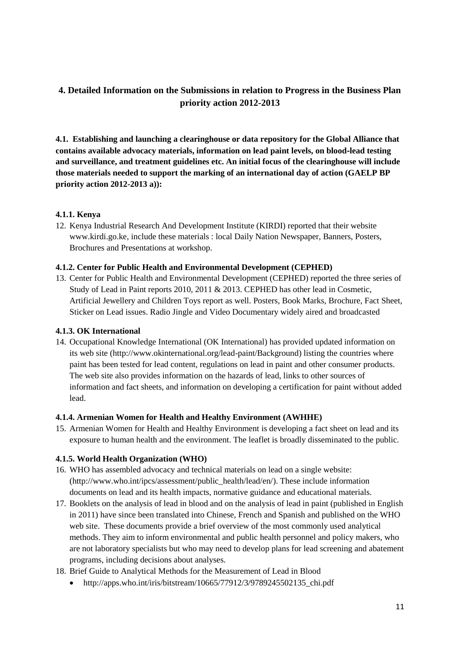# <span id="page-11-0"></span>**4. Detailed Information on the Submissions in relation to Progress in the Business Plan priority action 2012-2013**

<span id="page-11-1"></span>**4.1. Establishing and launching a clearinghouse or data repository for the Global Alliance that contains available advocacy materials, information on lead paint levels, on blood**‐**lead testing and surveillance, and treatment guidelines etc. An initial focus of the clearinghouse will include those materials needed to support the marking of an international day of action (GAELP BP priority action 2012-2013 a)):**

# <span id="page-11-2"></span>**4.1.1. Kenya**

12. Kenya Industrial Research And Development Institute (KIRDI) reported that their website [www.kirdi.go.ke,](http://www.kirdi.go.ke/) include these materials : local Daily Nation Newspaper, Banners, Posters, Brochures and Presentations at workshop.

# <span id="page-11-3"></span>**4.1.2. Center for Public Health and Environmental Development (CEPHED)**

13. Center for Public Health and Environmental Development (CEPHED) reported the three series of Study of Lead in Paint reports 2010, 2011 & 2013. CEPHED has other lead in Cosmetic, Artificial Jewellery and Children Toys report as well. Posters, Book Marks, Brochure, Fact Sheet, Sticker on Lead issues. Radio Jingle and Video Documentary widely aired and broadcasted

# <span id="page-11-4"></span>**4.1.3. OK International**

14. Occupational Knowledge International (OK International) has provided updated information on its web site [\(http://www.okinternational.org/lead-paint/Background\)](http://www.okinternational.org/lead-paint/Background) listing the countries where paint has been tested for lead content, regulations on lead in paint and other consumer products. The web site also provides information on the hazards of lead, links to other sources of information and fact sheets, and information on developing a certification for paint without added lead.

# <span id="page-11-5"></span>**4.1.4. Armenian Women for Health and Healthy Environment (AWHHE)**

15. Armenian Women for Health and Healthy Environment is developing a fact sheet on lead and its exposure to human health and the environment. The leaflet is broadly disseminated to the public.

# <span id="page-11-6"></span>**4.1.5. World Health Organization (WHO)**

- 16. WHO has assembled advocacy and technical materials on lead on a single website: [\(http://www.who.int/ipcs/assessment/public\\_health/lead/en/\)](http://www.who.int/ipcs/assessment/public_health/lead/en/). These include information documents on lead and its health impacts, normative guidance and educational materials.
- 17. Booklets on the analysis of lead in blood and on the analysis of lead in paint (published in English in 2011) have since been translated into Chinese, French and Spanish and published on the WHO web site. These documents provide a brief overview of the most commonly used analytical methods. They aim to inform environmental and public health personnel and policy makers, who are not laboratory specialists but who may need to develop plans for lead screening and abatement programs, including decisions about analyses.
- 18. Brief Guide to Analytical Methods for the Measurement of Lead in Blood
	- http://apps.who.int/iris/bitstream/10665/77912/3/9789245502135 chi.pdf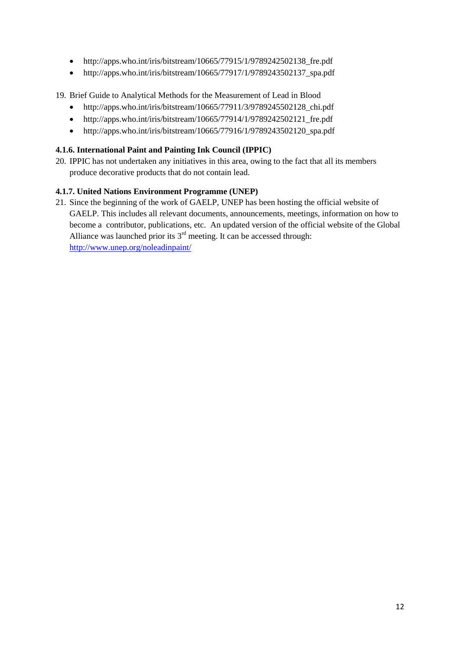- [http://apps.who.int/iris/bitstream/10665/77915/1/9789242502138\\_fre.pdf](http://apps.who.int/iris/bitstream/10665/77915/1/9789242502138_fre.pdf)
- http://apps.who.int/iris/bitstream/10665/77917/1/9789243502137 spa.pdf
- 19. Brief Guide to Analytical Methods for the Measurement of Lead in Blood
	- [http://apps.who.int/iris/bitstream/10665/77911/3/9789245502128\\_chi.pdf](http://apps.who.int/iris/bitstream/10665/77911/3/9789245502128_chi.pdf)
	- [http://apps.who.int/iris/bitstream/10665/77914/1/9789242502121\\_fre.pdf](http://apps.who.int/iris/bitstream/10665/77914/1/9789242502121_fre.pdf)
	- [http://apps.who.int/iris/bitstream/10665/77916/1/9789243502120\\_spa.pdf](http://apps.who.int/iris/bitstream/10665/77916/1/9789243502120_spa.pdf)

# <span id="page-12-0"></span>**4.1.6. [International Paint and Painting Ink Council \(IPPIC\)](http://www.unep.org/chemicalsandwaste/Portals/9/Lead_Cadmium/docs/GAELP/Contributors%20Letters/IPPIC%20GAELP%20Contribution%20Letter.pdf)**

20. IPPIC has not undertaken any initiatives in this area, owing to the fact that all its members produce decorative products that do not contain lead.

# <span id="page-12-1"></span>**4.1.7. United Nations Environment Programme (UNEP)**

21. Since the beginning of the work of GAELP, UNEP has been hosting the official website of GAELP. This includes all relevant documents, announcements, meetings, information on how to become a contributor, publications, etc. An updated version of the official website of the Global Alliance was launched prior its  $3<sup>rd</sup>$  meeting. It can be accessed through: <http://www.unep.org/noleadinpaint/>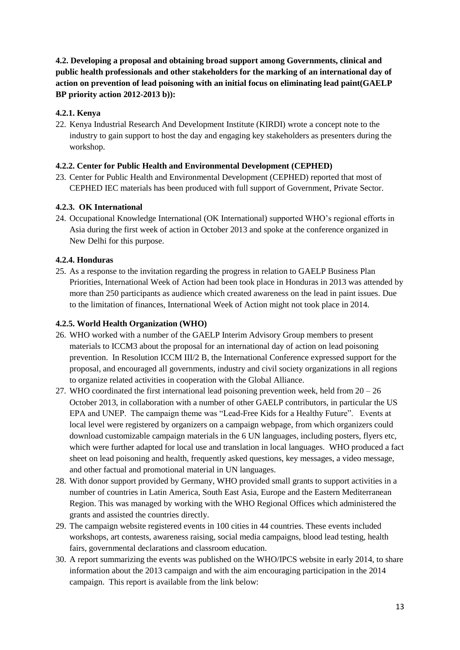<span id="page-13-0"></span>**4.2. Developing a proposal and obtaining broad support among Governments, clinical and public health professionals and other stakeholders for the marking of an international day of action on prevention of lead poisoning with an initial focus on eliminating lead paint(GAELP BP priority action 2012-2013 b)):**

# <span id="page-13-1"></span>**4.2.1. Kenya**

22. Kenya Industrial Research And Development Institute (KIRDI) wrote a concept note to the industry to gain support to host the day and engaging key stakeholders as presenters during the workshop.

# <span id="page-13-2"></span>**4.2.2. Center for Public Health and Environmental Development (CEPHED)**

23. Center for Public Health and Environmental Development (CEPHED) reported that most of CEPHED IEC materials has been produced with full support of Government, Private Sector.

# <span id="page-13-3"></span>**4.2.3. OK International**

24. Occupational Knowledge International (OK International) supported WHO's regional efforts in Asia during the first week of action in October 2013 and spoke at the conference organized in New Delhi for this purpose.

# <span id="page-13-4"></span>**4.2.4. Honduras**

25. As a response to the invitation regarding the progress in relation to GAELP Business Plan Priorities, International Week of Action had been took place in Honduras in 2013 was attended by more than 250 participants as audience which created awareness on the lead in paint issues. Due to the limitation of finances, International Week of Action might not took place in 2014.

# <span id="page-13-5"></span>**4.2.5. World Health Organization (WHO)**

- 26. WHO worked with a number of the GAELP Interim Advisory Group members to present materials to ICCM3 about the proposal for an international day of action on lead poisoning prevention. In Resolution ICCM III/2 B, the International Conference expressed support for the proposal, and encouraged all governments, industry and civil society organizations in all regions to organize related activities in cooperation with the Global Alliance.
- 27. WHO coordinated the first international lead poisoning prevention week, held from 20 26 October 2013, in collaboration with a number of other GAELP contributors, in particular the US EPA and UNEP. The campaign theme was "Lead-Free Kids for a Healthy Future". Events at local level were registered by organizers on a campaign webpage, from which organizers could download customizable campaign materials in the 6 UN languages, including posters, flyers etc, which were further adapted for local use and translation in local languages. WHO produced a fact sheet on lead poisoning and health, frequently asked questions, key messages, a video message, and other factual and promotional material in UN languages.
- 28. With donor support provided by Germany, WHO provided small grants to support activities in a number of countries in Latin America, South East Asia, Europe and the Eastern Mediterranean Region. This was managed by working with the WHO Regional Offices which administered the grants and assisted the countries directly.
- 29. The campaign website registered events in 100 cities in 44 countries. These events included workshops, art contests, awareness raising, social media campaigns, blood lead testing, health fairs, governmental declarations and classroom education.
- 30. A report summarizing the events was published on the WHO/IPCS website in early 2014, to share information about the 2013 campaign and with the aim encouraging participation in the 2014 campaign. This report is available from the link below: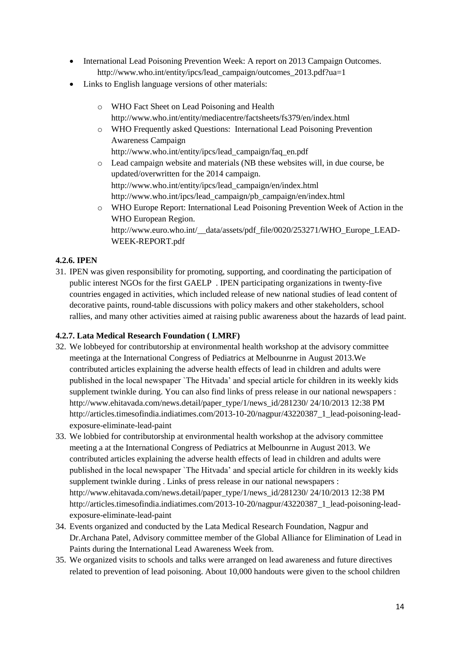- International Lead Poisoning Prevention Week: A report on 2013 Campaign Outcomes. [http://www.who.int/entity/ipcs/lead\\_campaign/outcomes\\_2013.pdf?ua=1](http://www.who.int/entity/ipcs/lead_campaign/outcomes_2013.pdf?ua=1)
- Links to English language versions of other materials:
	- o WHO Fact Sheet on Lead Poisoning and Health <http://www.who.int/entity/mediacentre/factsheets/fs379/en/index.html>
	- o WHO Frequently asked Questions: International Lead Poisoning Prevention Awareness Campaign [http://www.who.int/entity/ipcs/lead\\_campaign/faq\\_en.pdf](http://www.who.int/entity/ipcs/lead_campaign/faq_en.pdf)
	- o Lead campaign website and materials (NB these websites will, in due course, be updated/overwritten for the 2014 campaign. [http://www.who.int/entity/ipcs/lead\\_campaign/en/index.html](http://www.who.int/entity/ipcs/lead_campaign/en/index.html) [http://www.who.int/ipcs/lead\\_campaign/pb\\_campaign/en/index.html](http://www.who.int/ipcs/lead_campaign/pb_campaign/en/index.html)
	- o WHO Europe Report: International Lead Poisoning Prevention Week of Action in the WHO European Region. http://www.euro.who.int/\_data/assets/pdf\_file/0020/253271/WHO\_Europe\_LEAD-[WEEK-REPORT.pdf](http://www.euro.who.int/__data/assets/pdf_file/0020/253271/WHO_Europe_LEAD-WEEK-REPORT.pdf)

# <span id="page-14-0"></span>**4.2.6. IPEN**

31. IPEN was given responsibility for promoting, supporting, and coordinating the participation of public interest NGOs for the first GAELP . IPEN participating organizations in twenty-five countries engaged in activities, which included release of new national studies of lead content of decorative paints, round-table discussions with policy makers and other stakeholders, school rallies, and many other activities aimed at raising public awareness about the hazards of lead paint.

# <span id="page-14-1"></span>**4.2.7. Lata Medical Research Foundation ( LMRF)**

- 32. We lobbeyed for contributorship at environmental health workshop at the advisory committee meetinga at the International Congress of Pediatrics at Melbounrne in August 2013.We contributed articles explaining the adverse health effects of lead in children and adults were published in the local newspaper `The Hitvada' and special article for children in its weekly kids supplement twinkle during. You can also find links of press release in our national newspapers : http://www.ehitavada.com/news.detail/paper\_type/1/news\_id/281230/ 24/10/2013 12:38 PM [http://articles.timesofindia.indiatimes.com/2013-10-20/nagpur/43220387\\_1\\_lead-poisoning-lead](http://articles.timesofindia.indiatimes.com/2013-10-20/nagpur/43220387_1_lead-poisoning-lead-exposure-eliminate-lead-paint)[exposure-eliminate-lead-paint](http://articles.timesofindia.indiatimes.com/2013-10-20/nagpur/43220387_1_lead-poisoning-lead-exposure-eliminate-lead-paint)
- 33. We lobbied for contributorship at environmental health workshop at the advisory committee meeting a at the International Congress of Pediatrics at Melbounrne in August 2013. We contributed articles explaining the adverse health effects of lead in children and adults were published in the local newspaper `The Hitvada' and special article for children in its weekly kids supplement twinkle during . Links of press release in our national newspapers : http://www.ehitavada.com/news.detail/paper\_type/1/news\_id/281230/ 24/10/2013 12:38 PM [http://articles.timesofindia.indiatimes.com/2013-10-20/nagpur/43220387\\_1\\_lead-poisoning-lead](http://articles.timesofindia.indiatimes.com/2013-10-20/nagpur/43220387_1_lead-poisoning-lead-exposure-eliminate-lead-paint)[exposure-eliminate-lead-paint](http://articles.timesofindia.indiatimes.com/2013-10-20/nagpur/43220387_1_lead-poisoning-lead-exposure-eliminate-lead-paint)
- 34. Events organized and conducted by the Lata Medical Research Foundation, Nagpur and Dr.Archana Patel, Advisory committee member of the Global Alliance for Elimination of Lead in Paints during the International Lead Awareness Week from.
- 35. We organized visits to schools and talks were arranged on lead awareness and future directives related to prevention of lead poisoning. About 10,000 handouts were given to the school children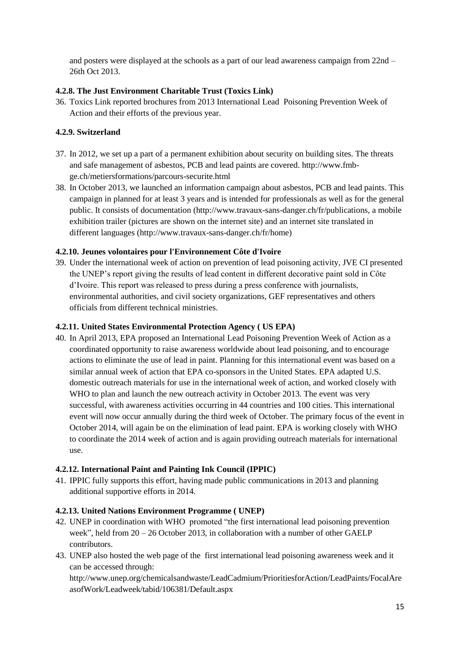and posters were displayed at the schools as a part of our lead awareness campaign from 22nd – 26th Oct 2013.

# <span id="page-15-0"></span>**4.2.8. [The Just Environment Charitable Trust \(Toxics Link\)](http://www.unep.org/chemicalsandwaste/Portals/9/Lead_Cadmium/docs/GAELP/Contributors%20Letters/Toxics%20Link%20Letter.pdf)**

36. Toxics Link reported brochures from 2013 International Lead Poisoning Prevention Week of Action and their efforts of the previous year.

# <span id="page-15-1"></span>**4.2.9. Switzerland**

- 37. In 2012, we set up a part of a permanent exhibition about security on building sites. The threats and safe management of asbestos, PCB and lead paints are covered. http://www.fmbge.ch/metiersformations/parcours-securite.html
- 38. In October 2013, we launched an information campaign about asbestos, PCB and lead paints. This campaign in planned for at least 3 years and is intended for professionals as well as for the general public. It consists of documentation (http://www.travaux-sans-danger.ch/fr/publications, a mobile exhibition trailer (pictures are shown on the internet site) and an internet site translated in different languages (http://www.travaux-sans-danger.ch/fr/home)

# <span id="page-15-2"></span>**4.2.10. [Jeunes volontaires pour l'Environnement Côte d'Ivoire](http://www.unep.org/chemicalsandwaste/Portals/9/Lead_Cadmium/docs/GAELP/Contributors%20Letters/Jeune%20Volontaire%20pour%20l)**

39. Under the international week of action on prevention of lead poisoning activity, JVE CI presented the UNEP's report giving the results of lead content in different decorative paint sold in Côte d'Ivoire. This report was released to press during a press conference with journalists, environmental authorities, and civil society organizations, GEF representatives and others officials from different technical ministries.

# <span id="page-15-3"></span>**4.2.11. United States Environmental Protection Agency ( US EPA)**

40. In April 2013, EPA proposed an International Lead Poisoning Prevention Week of Action as a coordinated opportunity to raise awareness worldwide about lead poisoning, and to encourage actions to eliminate the use of lead in paint. Planning for this international event was based on a similar annual week of action that EPA co-sponsors in the United States. EPA adapted U.S. domestic outreach materials for use in the international week of action, and worked closely with WHO to plan and launch the new outreach activity in October 2013. The event was very successful, with awareness activities occurring in 44 countries and 100 cities. This international event will now occur annually during the third week of October. The primary focus of the event in October 2014, will again be on the elimination of lead paint. EPA is working closely with WHO to coordinate the 2014 week of action and is again providing outreach materials for international use.

# <span id="page-15-4"></span>**4.2.12. [International Paint and Painting Ink Council \(IPPIC\)](http://www.unep.org/chemicalsandwaste/Portals/9/Lead_Cadmium/docs/GAELP/Contributors%20Letters/IPPIC%20GAELP%20Contribution%20Letter.pdf)**

41. IPPIC fully supports this effort, having made public communications in 2013 and planning additional supportive efforts in 2014.

# <span id="page-15-5"></span>**4.2.13. United Nations Environment Programme ( UNEP)**

- 42. UNEP in coordination with WHO promoted "the first international lead poisoning prevention week", held from 20 – 26 October 2013, in collaboration with a number of other GAELP contributors.
- 43. UNEP also hosted the web page of the first international lead poisoning awareness week and it can be accessed through:

http://www.unep.org/chemicalsandwaste/LeadCadmium/PrioritiesforAction/LeadPaints/FocalAre asofWork/Leadweek/tabid/106381/Default.aspx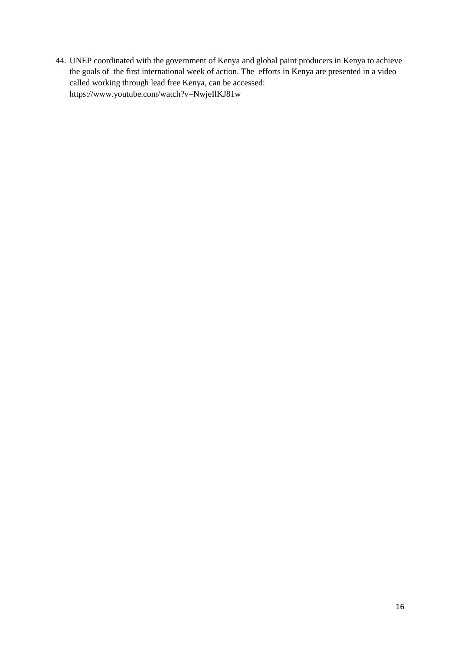44. UNEP coordinated with the government of Kenya and global paint producers in Kenya to achieve the goals of the first international week of action. The efforts in Kenya are presented in a video called working through lead free Kenya, can be accessed: https://www.youtube.com/watch?v=NwjeIlKJ81w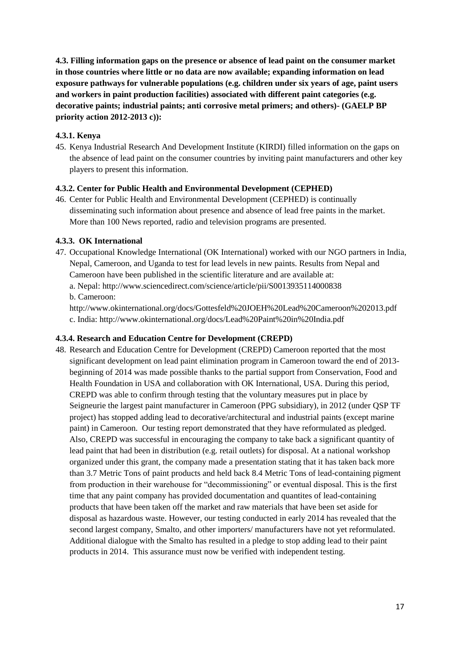<span id="page-17-0"></span>**4.3. Filling information gaps on the presence or absence of lead paint on the consumer market in those countries where little or no data are now available; expanding information on lead exposure pathways for vulnerable populations (e.g. children under six years of age, paint users and workers in paint production facilities) associated with different paint categories (e.g. decorative paints; industrial paints; anti corrosive metal primers; and others)- (GAELP BP priority action 2012-2013 c)):**

#### <span id="page-17-1"></span>**4.3.1. Kenya**

45. Kenya Industrial Research And Development Institute (KIRDI) filled information on the gaps on the absence of lead paint on the consumer countries by inviting paint manufacturers and other key players to present this information.

#### <span id="page-17-2"></span>**4.3.2. Center for Public Health and Environmental Development (CEPHED)**

46. Center for Public Health and Environmental Development (CEPHED) is continually disseminating such information about presence and absence of lead free paints in the market. More than 100 News reported, radio and television programs are presented.

#### <span id="page-17-3"></span>**4.3.3. OK International**

47. Occupational Knowledge International (OK International) worked with our NGO partners in India, Nepal, Cameroon, and Uganda to test for lead levels in new paints. Results from Nepal and Cameroon have been published in the scientific literature and are available at:

a. Nepal: http://www.sciencedirect.com/science/article/pii/S0013935114000838 b. Cameroon:

http://www.okinternational.org/docs/Gottesfeld%20JOEH%20Lead%20Cameroon%202013.pdf c. India: <http://www.okinternational.org/docs/Lead%20Paint%20in%20India.pdf>

#### <span id="page-17-4"></span>**4.3.4. Research and Education Centre for Development (CREPD)**

48. Research and Education Centre for Development (CREPD) Cameroon reported that the most significant development on lead paint elimination program in Cameroon toward the end of 2013 beginning of 2014 was made possible thanks to the partial support from Conservation, Food and Health Foundation in USA and collaboration with OK International, USA. During this period, CREPD was able to confirm through testing that the voluntary measures put in place by Seigneurie the largest paint manufacturer in Cameroon (PPG subsidiary), in 2012 (under QSP TF project) has stopped adding lead to decorative/architectural and industrial paints (except marine paint) in Cameroon. Our testing report demonstrated that they have reformulated as pledged. Also, CREPD was successful in encouraging the company to take back a significant quantity of lead paint that had been in distribution (e.g. retail outlets) for disposal. At a national workshop organized under this grant, the company made a presentation stating that it has taken back more than 3.7 Metric Tons of paint products and held back 8.4 Metric Tons of lead-containing pigment from production in their warehouse for "decommissioning" or eventual disposal. This is the first time that any paint company has provided documentation and quantites of lead-containing products that have been taken off the market and raw materials that have been set aside for disposal as hazardous waste. However, our testing conducted in early 2014 has revealed that the second largest company, Smalto, and other importers/ manufacturers have not yet reformulated. Additional dialogue with the Smalto has resulted in a pledge to stop adding lead to their paint products in 2014. This assurance must now be verified with independent testing.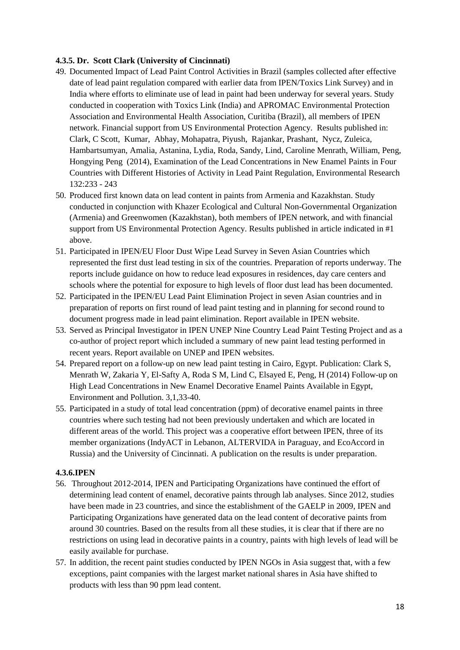# <span id="page-18-0"></span>**4.3.5. [Dr. Scott Clark \(University of Cincinnati\)](http://www.unep.org/chemicalsandwaste/Portals/9/Lead_Cadmium/docs/GAELP/Contributors%20Letters/Scott_Clark_Univ_Cincinnati_Form_Letter.pdf)**

- 49. Documented Impact of Lead Paint Control Activities in Brazil (samples collected after effective date of lead paint regulation compared with earlier data from IPEN/Toxics Link Survey) and in India where efforts to eliminate use of lead in paint had been underway for several years. Study conducted in cooperation with Toxics Link (India) and APROMAC Environmental Protection Association and Environmental Health Association, Curitiba (Brazil), all members of IPEN network. Financial support from US Environmental Protection Agency. Results published in: Clark, C Scott, Kumar, Abhay, Mohapatra, Piyush, Rajankar, Prashant, Nycz, Zuleica, Hambartsumyan, Amalia, Astanina, Lydia, Roda, Sandy, Lind, Caroline Menrath, William, Peng, Hongying Peng (2014), Examination of the Lead Concentrations in New Enamel Paints in Four Countries with Different Histories of Activity in Lead Paint Regulation, Environmental Research 132:233 - 243
- 50. Produced first known data on lead content in paints from Armenia and Kazakhstan. Study conducted in conjunction with Khazer Ecological and Cultural Non-Governmental Organization (Armenia) and Greenwomen (Kazakhstan), both members of IPEN network, and with financial support from US Environmental Protection Agency. Results published in article indicated in #1 above.
- 51. Participated in IPEN/EU Floor Dust Wipe Lead Survey in Seven Asian Countries which represented the first dust lead testing in six of the countries. Preparation of reports underway. The reports include guidance on how to reduce lead exposures in residences, day care centers and schools where the potential for exposure to high levels of floor dust lead has been documented.
- 52. Participated in the IPEN/EU Lead Paint Elimination Project in seven Asian countries and in preparation of reports on first round of lead paint testing and in planning for second round to document progress made in lead paint elimination. Report available in IPEN website.
- 53. Served as Principal Investigator in IPEN UNEP Nine Country Lead Paint Testing Project and as a co-author of project report which included a summary of new paint lead testing performed in recent years. Report available on UNEP and IPEN websites.
- 54. Prepared report on a follow-up on new lead paint testing in Cairo, Egypt. Publication: Clark S, Menrath W, Zakaria Y, El-Safty A, Roda S M, Lind C, Elsayed E, Peng, H (2014) Follow-up on High Lead Concentrations in New Enamel Decorative Enamel Paints Available in Egypt, Environment and Pollution. 3,1,33-40.
- 55. Participated in a study of total lead concentration (ppm) of decorative enamel paints in three countries where such testing had not been previously undertaken and which are located in different areas of the world. This project was a cooperative effort between IPEN, three of its member organizations (IndyACT in Lebanon, ALTERVIDA in Paraguay, and EcoAccord in Russia) and the University of Cincinnati. A publication on the results is under preparation.

#### <span id="page-18-1"></span>**4.3.6.IPEN**

- 56. Throughout 2012-2014, IPEN and Participating Organizations have continued the effort of determining lead content of enamel, decorative paints through lab analyses. Since 2012, studies have been made in 23 countries, and since the establishment of the GAELP in 2009, IPEN and Participating Organizations have generated data on the lead content of decorative paints from around 30 countries. Based on the results from all these studies, it is clear that if there are no restrictions on using lead in decorative paints in a country, paints with high levels of lead will be easily available for purchase.
- 57. In addition, the recent paint studies conducted by IPEN NGOs in Asia suggest that, with a few exceptions, paint companies with the largest market national shares in Asia have shifted to products with less than 90 ppm lead content.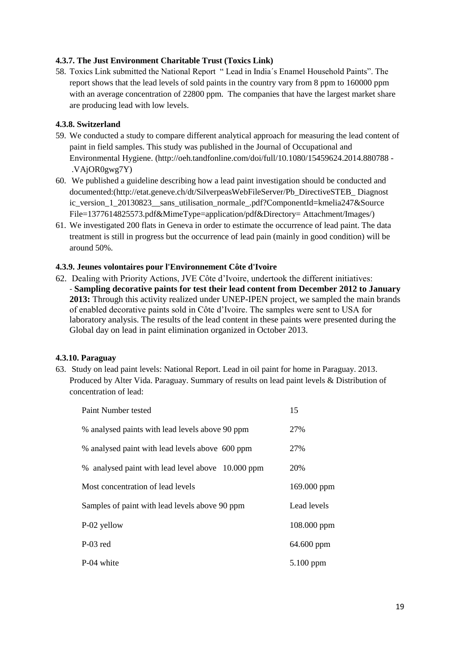# <span id="page-19-0"></span>**4.3.7. [The Just Environment Charitable Trust \(Toxics Link\)](http://www.unep.org/chemicalsandwaste/Portals/9/Lead_Cadmium/docs/GAELP/Contributors%20Letters/Toxics%20Link%20Letter.pdf)**

58. Toxics Link submitted the National Report " Lead in India´s Enamel Household Paints". The report shows that the lead levels of sold paints in the country vary from 8 ppm to 160000 ppm with an average concentration of 22800 ppm. The companies that have the largest market share are producing lead with low levels.

# <span id="page-19-1"></span>**4.3.8. Switzerland**

- 59. We conducted a study to compare different analytical approach for measuring the lead content of paint in field samples. This study was published in the Journal of Occupational and Environmental Hygiene. (http://oeh.tandfonline.com/doi/full/10.1080/15459624.2014.880788 - .VAjOR0gwg7Y)
- 60. We published a guideline describing how a lead paint investigation should be conducted and documented:(http://etat.geneve.ch/dt/SilverpeasWebFileServer/Pb\_DirectiveSTEB\_ Diagnost ic\_version\_1\_20130823\_\_sans\_utilisation\_normale\_.pdf?ComponentId=kmelia247&Source File=1377614825573.pdf&MimeType=application/pdf&Directory= Attachment/Images/)
- 61. We investigated 200 flats in Geneva in order to estimate the occurrence of lead paint. The data treatment is still in progress but the occurrence of lead pain (mainly in good condition) will be around 50%.

# <span id="page-19-2"></span>**4.3.9. [Jeunes volontaires pour l'Environnement Côte d'Ivoire](http://www.unep.org/chemicalsandwaste/Portals/9/Lead_Cadmium/docs/GAELP/Contributors%20Letters/Jeune%20Volontaire%20pour%20l)**

62. Dealing with Priority Actions, JVE Côte d'Ivoire, undertook the different initiatives: - **Sampling decorative paints for test their lead content from December 2012 to January 2013:** Through this activity realized under UNEP-IPEN project, we sampled the main brands of enabled decorative paints sold in Côte d'Ivoire. The samples were sent to USA for laboratory analysis. The results of the lead content in these paints were presented during the Global day on lead in paint elimination organized in October 2013.

# <span id="page-19-3"></span>**4.3.10. Paraguay**

63. Study on lead paint levels: National Report. Lead in oil paint for home in Paraguay. 2013. Produced by Alter Vida. Paraguay. Summary of results on lead paint levels & Distribution of concentration of lead:

| Paint Number tested                               | 15          |
|---------------------------------------------------|-------------|
| % analysed paints with lead levels above 90 ppm   | 27%         |
| % analysed paint with lead levels above 600 ppm   | 27%         |
| % analysed paint with lead level above 10.000 ppm | 20%         |
| Most concentration of lead levels                 | 169.000 ppm |
| Samples of paint with lead levels above 90 ppm    | Lead levels |
| P-02 yellow                                       | 108.000 ppm |
| P-03 red                                          | 64.600 ppm  |
| P-04 white                                        | 5.100 ppm   |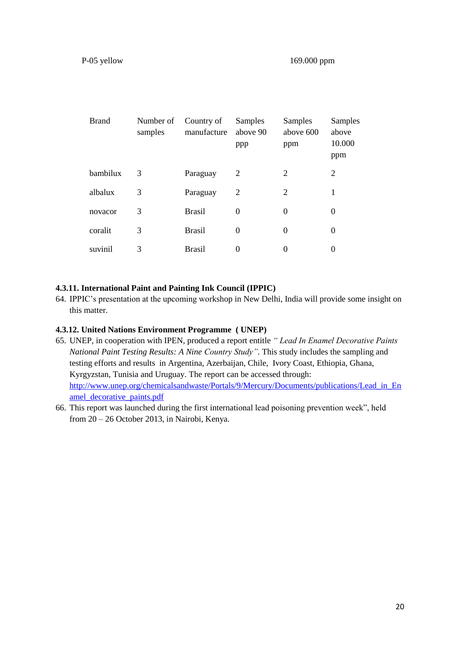| <b>Brand</b> | Number of<br>samples | Country of<br>manufacture | Samples<br>above 90<br>ppp | Samples<br>above 600<br>ppm | Samples<br>above<br>10.000<br>ppm |
|--------------|----------------------|---------------------------|----------------------------|-----------------------------|-----------------------------------|
| bambilux     | 3                    | Paraguay                  | 2                          | 2                           | 2                                 |
| albalux      | 3                    | Paraguay                  | 2                          | 2                           | 1                                 |
| novacor      | 3                    | <b>Brasil</b>             | $\theta$                   | $\theta$                    | $\theta$                          |
| coralit      | 3                    | <b>Brasil</b>             | $\theta$                   | $\theta$                    | $\Omega$                          |
| suvinil      | 3                    | <b>Brasil</b>             | $\Omega$                   | $\Omega$                    | 0                                 |

#### <span id="page-20-0"></span>**4.3.11. [International Paint and Painting Ink Council \(IPPIC\)](http://www.unep.org/chemicalsandwaste/Portals/9/Lead_Cadmium/docs/GAELP/Contributors%20Letters/IPPIC%20GAELP%20Contribution%20Letter.pdf)**

64. IPPIC's presentation at the upcoming workshop in New Delhi, India will provide some insight on this matter.

#### <span id="page-20-1"></span>**4.3.12. United Nations Environment Programme ( UNEP)**

- 65. UNEP, in cooperation with IPEN, produced a report entitle *" Lead In Enamel Decorative Paints National Paint Testing Results: A Nine Country Study"*. This study includes the sampling and testing efforts and results in Argentina, Azerbaijan, Chile, Ivory Coast, Ethiopia, Ghana, Kyrgyzstan, Tunisia and Uruguay. The report can be accessed through: [http://www.unep.org/chemicalsandwaste/Portals/9/Mercury/Documents/publications/Lead\\_in\\_En](http://www.unep.org/chemicalsandwaste/Portals/9/Mercury/Documents/publications/Lead_in_Enamel_decorative_paints.pdf) [amel\\_decorative\\_paints.pdf](http://www.unep.org/chemicalsandwaste/Portals/9/Mercury/Documents/publications/Lead_in_Enamel_decorative_paints.pdf)
- 66. This report was launched during the first international lead poisoning prevention week", held from 20 – 26 October 2013, in Nairobi, Kenya.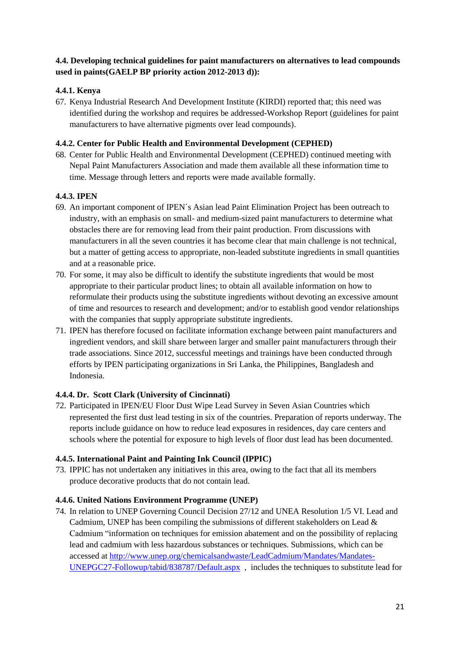# <span id="page-21-0"></span>**4.4. Developing technical guidelines for paint manufacturers on alternatives to lead compounds used in paints(GAELP BP priority action 2012-2013 d)):**

# <span id="page-21-1"></span>**4.4.1. Kenya**

67. Kenya Industrial Research And Development Institute (KIRDI) reported that; this need was identified during the workshop and requires be addressed-Workshop Report (guidelines for paint manufacturers to have alternative pigments over lead compounds).

# <span id="page-21-2"></span>**4.4.2. Center for Public Health and Environmental Development (CEPHED)**

68. Center for Public Health and Environmental Development (CEPHED) continued meeting with Nepal Paint Manufacturers Association and made them available all these information time to time. Message through letters and reports were made available formally.

# <span id="page-21-3"></span>**4.4.3. IPEN**

- 69. An important component of IPEN´s Asian lead Paint Elimination Project has been outreach to industry, with an emphasis on small- and medium-sized paint manufacturers to determine what obstacles there are for removing lead from their paint production. From discussions with manufacturers in all the seven countries it has become clear that main challenge is not technical, but a matter of getting access to appropriate, non-leaded substitute ingredients in small quantities and at a reasonable price.
- 70. For some, it may also be difficult to identify the substitute ingredients that would be most appropriate to their particular product lines; to obtain all available information on how to reformulate their products using the substitute ingredients without devoting an excessive amount of time and resources to research and development; and/or to establish good vendor relationships with the companies that supply appropriate substitute ingredients.
- 71. IPEN has therefore focused on facilitate information exchange between paint manufacturers and ingredient vendors, and skill share between larger and smaller paint manufacturers through their trade associations. Since 2012, successful meetings and trainings have been conducted through efforts by IPEN participating organizations in Sri Lanka, the Philippines, Bangladesh and Indonesia.

# <span id="page-21-4"></span>**4.4.4. [Dr. Scott Clark \(University of Cincinnati\)](http://www.unep.org/chemicalsandwaste/Portals/9/Lead_Cadmium/docs/GAELP/Contributors%20Letters/Scott_Clark_Univ_Cincinnati_Form_Letter.pdf)**

72. Participated in IPEN/EU Floor Dust Wipe Lead Survey in Seven Asian Countries which represented the first dust lead testing in six of the countries. Preparation of reports underway. The reports include guidance on how to reduce lead exposures in residences, day care centers and schools where the potential for exposure to high levels of floor dust lead has been documented.

# <span id="page-21-5"></span>**4.4.5. International [Paint and Painting Ink Council \(IPPIC\)](http://www.unep.org/chemicalsandwaste/Portals/9/Lead_Cadmium/docs/GAELP/Contributors%20Letters/IPPIC%20GAELP%20Contribution%20Letter.pdf)**

73. IPPIC has not undertaken any initiatives in this area, owing to the fact that all its members produce decorative products that do not contain lead.

# <span id="page-21-6"></span>**4.4.6. United Nations Environment Programme (UNEP)**

74. In relation to UNEP Governing Council Decision 27/12 and UNEA Resolution 1/5 VI. Lead and Cadmium, UNEP has been compiling the submissions of different stakeholders on Lead  $\&$ Cadmium "information on techniques for emission abatement and on the possibility of replacing lead and cadmium with less hazardous substances or techniques. Submissions, which can be accessed at [http://www.unep.org/chemicalsandwaste/LeadCadmium/Mandates/Mandates-](http://www.unep.org/chemicalsandwaste/LeadCadmium/Mandates/Mandates-UNEPGC27-Followup/tabid/838787/Default.aspx)[UNEPGC27-Followup/tabid/838787/Default.aspx](http://www.unep.org/chemicalsandwaste/LeadCadmium/Mandates/Mandates-UNEPGC27-Followup/tabid/838787/Default.aspx) , includes the techniques to substitute lead for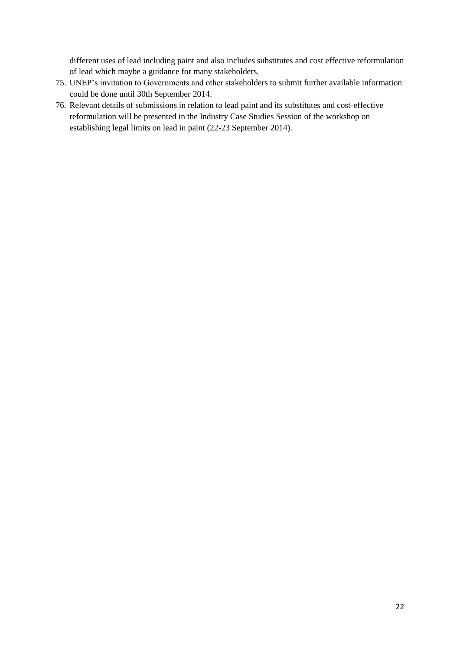different uses of lead including paint and also includes substitutes and cost effective reformulation of lead which maybe a guidance for many stakeholders.

- 75. UNEP's invitation to Governments and other stakeholders to submit further available information could be done until 30th September 2014.
- 76. Relevant details of submissions in relation to lead paint and its substitutes and cost-effective reformulation will be presented in the Industry Case Studies Session of the workshop on establishing legal limits on lead in paint (22-23 September 2014).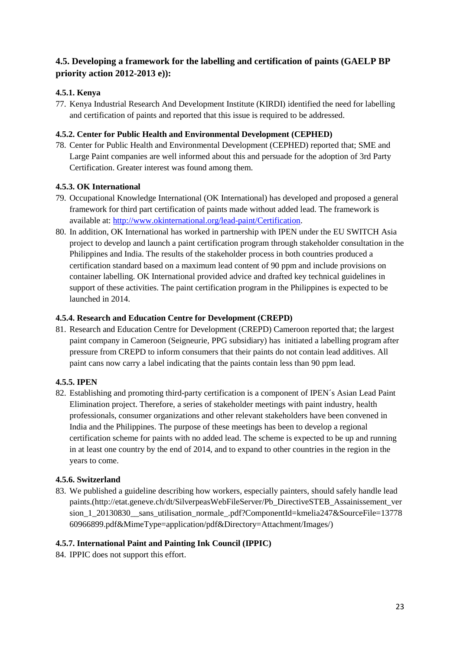# <span id="page-23-0"></span>**4.5. Developing a framework for the labelling and certification of paints (GAELP BP priority action 2012-2013 e)):**

# <span id="page-23-1"></span>**4.5.1. Kenya**

77. Kenya Industrial Research And Development Institute (KIRDI) identified the need for labelling and certification of paints and reported that this issue is required to be addressed.

# <span id="page-23-2"></span>**4.5.2. Center for Public Health and Environmental Development (CEPHED)**

78. Center for Public Health and Environmental Development (CEPHED) reported that; SME and Large Paint companies are well informed about this and persuade for the adoption of 3rd Party Certification. Greater interest was found among them.

# <span id="page-23-3"></span>**4.5.3. OK International**

- 79. Occupational Knowledge International (OK International) has developed and proposed a general framework for third part certification of paints made without added lead. The framework is available at: [http://www.okinternational.org/lead-paint/Certification.](http://www.okinternational.org/lead-paint/Certification)
- 80. In addition, OK International has worked in partnership with IPEN under the EU SWITCH Asia project to develop and launch a paint certification program through stakeholder consultation in the Philippines and India. The results of the stakeholder process in both countries produced a certification standard based on a maximum lead content of 90 ppm and include provisions on container labelling. OK International provided advice and drafted key technical guidelines in support of these activities. The paint certification program in the Philippines is expected to be launched in 2014.

# <span id="page-23-4"></span>**4.5.4. Research and Education Centre for Development (CREPD)**

81. Research and Education Centre for Development (CREPD) Cameroon reported that; the largest paint company in Cameroon (Seigneurie, PPG subsidiary) has initiated a labelling program after pressure from CREPD to inform consumers that their paints do not contain lead additives. All paint cans now carry a label indicating that the paints contain less than 90 ppm lead.

# <span id="page-23-5"></span>**4.5.5. IPEN**

82. Establishing and promoting third-party certification is a component of IPEN´s Asian Lead Paint Elimination project. Therefore, a series of stakeholder meetings with paint industry, health professionals, consumer organizations and other relevant stakeholders have been convened in India and the Philippines. The purpose of these meetings has been to develop a regional certification scheme for paints with no added lead. The scheme is expected to be up and running in at least one country by the end of 2014, and to expand to other countries in the region in the years to come.

# <span id="page-23-6"></span>**4.5.6. Switzerland**

83. We published a guideline describing how workers, especially painters, should safely handle lead paints.(http://etat.geneve.ch/dt/SilverpeasWebFileServer/Pb\_DirectiveSTEB\_Assainissement\_ver sion\_1\_20130830\_\_sans\_utilisation\_normale\_.pdf?ComponentId=kmelia247&SourceFile=13778 60966899.pdf&MimeType=application/pdf&Directory=Attachment/Images/)

# <span id="page-23-7"></span>**4.5.7. [International Paint and Painting Ink Council \(IPPIC\)](http://www.unep.org/chemicalsandwaste/Portals/9/Lead_Cadmium/docs/GAELP/Contributors%20Letters/IPPIC%20GAELP%20Contribution%20Letter.pdf)**

84. IPPIC does not support this effort.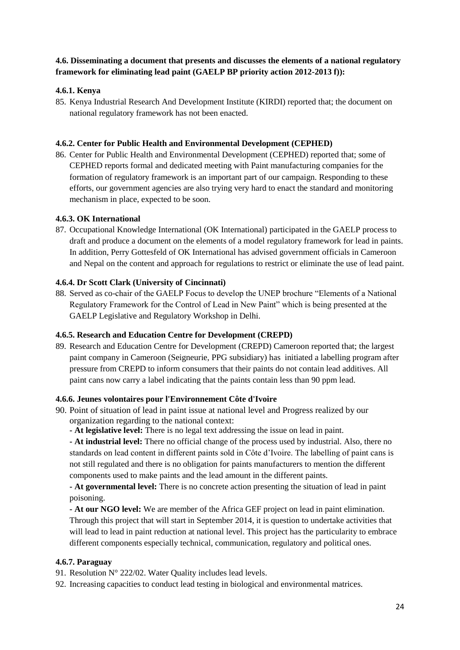# <span id="page-24-0"></span>**4.6. Disseminating a document that presents and discusses the elements of a national regulatory framework for eliminating lead paint (GAELP BP priority action 2012-2013 f)):**

# <span id="page-24-1"></span>**4.6.1. Kenya**

85. Kenya Industrial Research And Development Institute (KIRDI) reported that; the document on national regulatory framework has not been enacted.

#### <span id="page-24-2"></span>**4.6.2. Center for Public Health and Environmental Development (CEPHED)**

86. Center for Public Health and Environmental Development (CEPHED) reported that; some of CEPHED reports formal and dedicated meeting with Paint manufacturing companies for the formation of regulatory framework is an important part of our campaign. Responding to these efforts, our government agencies are also trying very hard to enact the standard and monitoring mechanism in place, expected to be soon.

#### <span id="page-24-3"></span>**4.6.3. OK International**

87. Occupational Knowledge International (OK International) participated in the GAELP process to draft and produce a document on the elements of a model regulatory framework for lead in paints. In addition, Perry Gottesfeld of OK International has advised government officials in Cameroon and Nepal on the content and approach for regulations to restrict or eliminate the use of lead paint.

#### <span id="page-24-4"></span>**4.6.4. [Dr Scott Clark \(University of Cincinnati\)](http://www.unep.org/chemicalsandwaste/Portals/9/Lead_Cadmium/docs/GAELP/Contributors%20Letters/Scott_Clark_Univ_Cincinnati_Form_Letter.pdf)**

88. Served as co-chair of the GAELP Focus to develop the UNEP brochure "Elements of a National Regulatory Framework for the Control of Lead in New Paint" which is being presented at the GAELP Legislative and Regulatory Workshop in Delhi.

#### <span id="page-24-5"></span>**4.6.5. Research and Education Centre for Development (CREPD)**

89. Research and Education Centre for Development (CREPD) Cameroon reported that; the largest paint company in Cameroon (Seigneurie, PPG subsidiary) has initiated a labelling program after pressure from CREPD to inform consumers that their paints do not contain lead additives. All paint cans now carry a label indicating that the paints contain less than 90 ppm lead.

#### <span id="page-24-6"></span>**4.6.6. [Jeunes volontaires pour l'Environnement Côte d'Ivoire](http://www.unep.org/chemicalsandwaste/Portals/9/Lead_Cadmium/docs/GAELP/Contributors%20Letters/Jeune%20Volontaire%20pour%20l)**

- 90. Point of situation of lead in paint issue at national level and Progress realized by our organization regarding to the national context:
	- **- At legislative level:** There is no legal text addressing the issue on lead in paint.

**- At industrial level:** There no official change of the process used by industrial. Also, there no standards on lead content in different paints sold in Côte d'Ivoire. The labelling of paint cans is not still regulated and there is no obligation for paints manufacturers to mention the different components used to make paints and the lead amount in the different paints.

**- At governmental level:** There is no concrete action presenting the situation of lead in paint poisoning.

**- At our NGO level:** We are member of the Africa GEF project on lead in paint elimination. Through this project that will start in September 2014, it is question to undertake activities that will lead to lead in paint reduction at national level. This project has the particularity to embrace different components especially technical, communication, regulatory and political ones.

#### <span id="page-24-7"></span>**4.6.7. Paraguay**

- 91. Resolution N° 222/02. Water Quality includes lead levels.
- 92. Increasing capacities to conduct lead testing in biological and environmental matrices.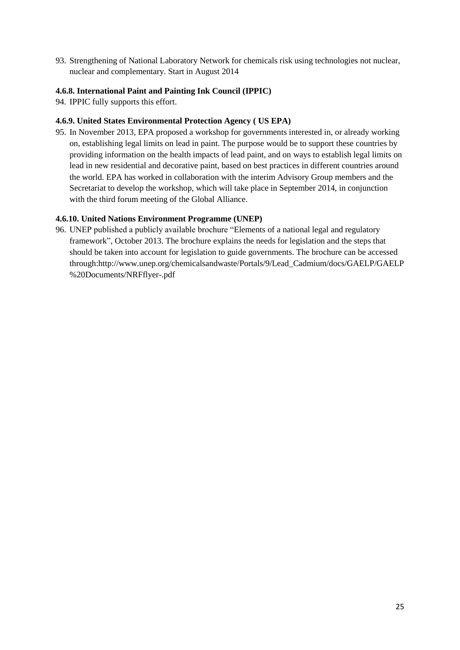93. Strengthening of National Laboratory Network for chemicals risk using technologies not nuclear, nuclear and complementary. Start in August 2014

# <span id="page-25-0"></span>**4.6.8. [International Paint and Painting Ink Council \(IPPIC\)](http://www.unep.org/chemicalsandwaste/Portals/9/Lead_Cadmium/docs/GAELP/Contributors%20Letters/IPPIC%20GAELP%20Contribution%20Letter.pdf)**

94. IPPIC fully supports this effort.

#### <span id="page-25-1"></span>**4.6.9. United States Environmental Protection Agency ( US EPA)**

95. In November 2013, EPA proposed a workshop for governments interested in, or already working on, establishing legal limits on lead in paint. The purpose would be to support these countries by providing information on the health impacts of lead paint, and on ways to establish legal limits on lead in new residential and decorative paint, based on best practices in different countries around the world. EPA has worked in collaboration with the interim Advisory Group members and the Secretariat to develop the workshop, which will take place in September 2014, in conjunction with the third forum meeting of the Global Alliance.

#### <span id="page-25-2"></span>**4.6.10. United Nations Environment Programme (UNEP)**

96. UNEP published a publicly available brochure ["Elements of a national legal and regulatory](http://www.unep.org/chemicalsandwaste/Portals/9/Lead_Cadmium/docs/GAELP/GAELP%20Documents/NRFflyer-.pdf)  [framework"](http://www.unep.org/chemicalsandwaste/Portals/9/Lead_Cadmium/docs/GAELP/GAELP%20Documents/NRFflyer-.pdf), October 2013. The brochure explains the needs for legislation and the steps that should be taken into account for legislation to guide governments. The brochure can be accessed through:http://www.unep.org/chemicalsandwaste/Portals/9/Lead\_Cadmium/docs/GAELP/GAELP %20Documents/NRFflyer-.pdf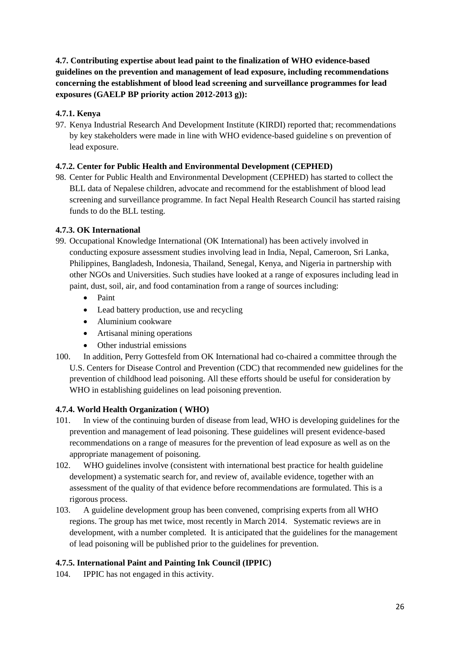<span id="page-26-0"></span>**4.7. Contributing expertise about lead paint to the finalization of WHO evidence**‐**based guidelines on the prevention and management of lead exposure, including recommendations concerning the establishment of blood lead screening and surveillance programmes for lead exposures (GAELP BP priority action 2012-2013 g)):**

# <span id="page-26-1"></span>**4.7.1. Kenya**

97. Kenya Industrial Research And Development Institute (KIRDI) reported that; recommendations by key stakeholders were made in line with WHO evidence-based guideline s on prevention of lead exposure.

# <span id="page-26-2"></span>**4.7.2. Center for Public Health and Environmental Development (CEPHED)**

98. Center for Public Health and Environmental Development (CEPHED) has started to collect the BLL data of Nepalese children, advocate and recommend for the establishment of blood lead screening and surveillance programme. In fact Nepal Health Research Council has started raising funds to do the BLL testing.

# <span id="page-26-3"></span>**4.7.3. OK International**

- 99. Occupational Knowledge International (OK International) has been actively involved in conducting exposure assessment studies involving lead in India, Nepal, Cameroon, Sri Lanka, Philippines, Bangladesh, Indonesia, Thailand, Senegal, Kenya, and Nigeria in partnership with other NGOs and Universities. Such studies have looked at a range of exposures including lead in paint, dust, soil, air, and food contamination from a range of sources including:
	- Paint
	- Lead battery production, use and recycling
	- Aluminium cookware
	- Artisanal mining operations
	- Other industrial emissions
- 100. In addition, Perry Gottesfeld from OK International had co-chaired a committee through the U.S. Centers for Disease Control and Prevention (CDC) that recommended new guidelines for the prevention of childhood lead poisoning. All these efforts should be useful for consideration by WHO in establishing guidelines on lead poisoning prevention.

# <span id="page-26-4"></span>**4.7.4. World Health Organization ( WHO)**

- 101. In view of the continuing burden of disease from lead, WHO is developing guidelines for the prevention and management of lead poisoning. These guidelines will present evidence-based recommendations on a range of measures for the prevention of lead exposure as well as on the appropriate management of poisoning.
- 102. WHO guidelines involve (consistent with international best practice for health guideline development) a systematic search for, and review of, available evidence, together with an assessment of the quality of that evidence before recommendations are formulated. This is a rigorous process.
- 103. A guideline development group has been convened, comprising experts from all WHO regions. The group has met twice, most recently in March 2014. Systematic reviews are in development, with a number completed. It is anticipated that the guidelines for the management of lead poisoning will be published prior to the guidelines for prevention.

# <span id="page-26-5"></span>**4.7.5. [International Paint and Painting Ink Council \(IPPIC\)](http://www.unep.org/chemicalsandwaste/Portals/9/Lead_Cadmium/docs/GAELP/Contributors%20Letters/IPPIC%20GAELP%20Contribution%20Letter.pdf)**

104. IPPIC has not engaged in this activity.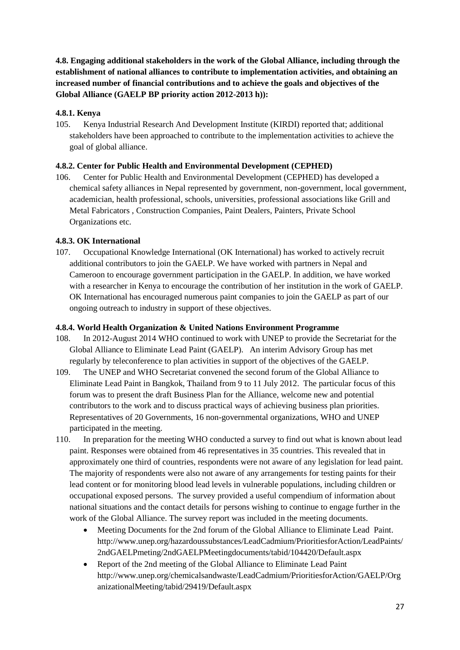<span id="page-27-0"></span>**4.8. Engaging additional stakeholders in the work of the Global Alliance, including through the establishment of national alliances to contribute to implementation activities, and obtaining an increased number of financial contributions and to achieve the goals and objectives of the Global Alliance (GAELP BP priority action 2012-2013 h)):**

# <span id="page-27-1"></span>**4.8.1. Kenya**

105. Kenya Industrial Research And Development Institute (KIRDI) reported that; additional stakeholders have been approached to contribute to the implementation activities to achieve the goal of global alliance.

# <span id="page-27-2"></span>**4.8.2. Center for Public Health and Environmental Development (CEPHED)**

106. Center for Public Health and Environmental Development (CEPHED) has developed a chemical safety alliances in Nepal represented by government, non-government, local government, academician, health professional, schools, universities, professional associations like Grill and Metal Fabricators , Construction Companies, Paint Dealers, Painters, Private School Organizations etc.

# <span id="page-27-3"></span>**4.8.3. OK International**

107. Occupational Knowledge International (OK International) has worked to actively recruit additional contributors to join the GAELP. We have worked with partners in Nepal and Cameroon to encourage government participation in the GAELP. In addition, we have worked with a researcher in Kenya to encourage the contribution of her institution in the work of GAELP. OK International has encouraged numerous paint companies to join the GAELP as part of our ongoing outreach to industry in support of these objectives.

# <span id="page-27-4"></span>**4.8.4. World Health Organization & United Nations Environment Programme**

- 108. In 2012-August 2014 WHO continued to work with UNEP to provide the Secretariat for the Global Alliance to Eliminate Lead Paint (GAELP). An interim Advisory Group has met regularly by teleconference to plan activities in support of the objectives of the GAELP.
- 109. The UNEP and WHO Secretariat convened the second forum of the Global Alliance to Eliminate Lead Paint in Bangkok, Thailand from 9 to 11 July 2012. The particular focus of this forum was to present the draft Business Plan for the Alliance, welcome new and potential contributors to the work and to discuss practical ways of achieving business plan priorities. Representatives of 20 Governments, 16 non-governmental organizations, WHO and UNEP participated in the meeting.
- 110. In preparation for the meeting WHO conducted a survey to find out what is known about lead paint. Responses were obtained from 46 representatives in 35 countries. This revealed that in approximately one third of countries, respondents were not aware of any legislation for lead paint. The majority of respondents were also not aware of any arrangements for testing paints for their lead content or for monitoring blood lead levels in vulnerable populations, including children or occupational exposed persons. The survey provided a useful compendium of information about national situations and the contact details for persons wishing to continue to engage further in the work of the Global Alliance. The survey report was included in the meeting documents.
	- Meeting Documents for the 2nd forum of the Global Alliance to Eliminate Lead Paint. [http://www.unep.org/hazardoussubstances/LeadCadmium/PrioritiesforAction/LeadPaints/](http://www.unep.org/hazardoussubstances/LeadCadmium/PrioritiesforAction/LeadPaints/2ndGAELPmeting/2ndGAELPMeetingdocuments/tabid/104420/Default.aspx) [2ndGAELPmeting/2ndGAELPMeetingdocuments/tabid/104420/Default.aspx](http://www.unep.org/hazardoussubstances/LeadCadmium/PrioritiesforAction/LeadPaints/2ndGAELPmeting/2ndGAELPMeetingdocuments/tabid/104420/Default.aspx)
	- Report of the 2nd meeting of the Global Alliance to Eliminate Lead Paint [http://www.unep.org/chemicalsandwaste/LeadCadmium/PrioritiesforAction/GAELP/Org](http://www.unep.org/chemicalsandwaste/LeadCadmium/PrioritiesforAction/GAELP/OrganizationalMeeting/tabid/29419/Default.aspx) [anizationalMeeting/tabid/29419/Default.aspx](http://www.unep.org/chemicalsandwaste/LeadCadmium/PrioritiesforAction/GAELP/OrganizationalMeeting/tabid/29419/Default.aspx)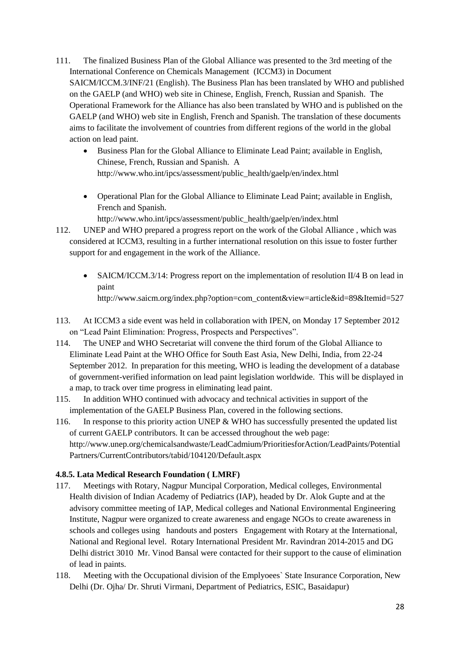- 111. The finalized Business Plan of the Global Alliance was presented to the 3rd meeting of the International Conference on Chemicals Management (ICCM3) in Document SAICM/ICCM.3/INF/21 (English). The Business Plan has been translated by WHO and published on the GAELP (and WHO) web site in Chinese, English, French, Russian and Spanish. The Operational Framework for the Alliance has also been translated by WHO and is published on the GAELP (and WHO) web site in English, French and Spanish. The translation of these documents aims to facilitate the involvement of countries from different regions of the world in the global action on lead paint.
	- Business Plan for the Global Alliance to Eliminate Lead Paint; available in English, Chinese, French, Russian and Spanish. A [http://www.who.int/ipcs/assessment/public\\_health/gaelp/en/index.html](http://www.who.int/ipcs/assessment/public_health/gaelp/en/index.html)
	- Operational Plan for the Global Alliance to Eliminate Lead Paint; available in English, French and Spanish.

[http://www.who.int/ipcs/assessment/public\\_health/gaelp/en/index.html](http://www.who.int/ipcs/assessment/public_health/gaelp/en/index.html)

- 112. UNEP and WHO prepared a progress report on the work of the Global Alliance , which was considered at ICCM3, resulting in a further international resolution on this issue to foster further support for and engagement in the work of the Alliance.
	- SAICM/ICCM.3/14: Progress report on the implementation of resolution II/4 B on lead in paint [http://www.saicm.org/index.php?option=com\\_content&view=article&id=89&Itemid=527](http://www.saicm.org/index.php?option=com_content&view=article&id=89&Itemid=527)
- 113. At ICCM3 a side event was held in collaboration with IPEN, on Monday 17 September 2012 on "Lead Paint Elimination: Progress, Prospects and Perspectives".
- 114. The UNEP and WHO Secretariat will convene the third forum of the Global Alliance to Eliminate Lead Paint at the WHO Office for South East Asia, New Delhi, India, from 22-24 September 2012. In preparation for this meeting, WHO is leading the development of a database of government-verified information on lead paint legislation worldwide. This will be displayed in a map, to track over time progress in eliminating lead paint.
- 115. In addition WHO continued with advocacy and technical activities in support of the implementation of the GAELP Business Plan, covered in the following sections.
- 116. In response to this priority action UNEP & WHO has successfully presented the updated list of current GAELP contributors. It can be accessed throughout the web page: http://www.unep.org/chemicalsandwaste/LeadCadmium/PrioritiesforAction/LeadPaints/Potential Partners/CurrentContributors/tabid/104120/Default.aspx

# <span id="page-28-0"></span>**4.8.5. Lata Medical Research Foundation ( LMRF)**

- 117. Meetings with Rotary, Nagpur Muncipal Corporation, Medical colleges, Environmental Health division of Indian Academy of Pediatrics (IAP), headed by Dr. Alok Gupte and at the advisory committee meeting of IAP, Medical colleges and National Environmental Engineering Institute, Nagpur were organized to create awareness and engage NGOs to create awareness in schools and colleges using handouts and posters Engagement with Rotary at the International, National and Regional level. Rotary International President Mr. Ravindran 2014-2015 and DG Delhi district 3010 Mr. Vinod Bansal were contacted for their support to the cause of elimination of lead in paints.
- 118. Meeting with the Occupational division of the Emplyoees` State Insurance Corporation, New Delhi (Dr. Ojha/ Dr. Shruti Virmani, Department of Pediatrics, ESIC, Basaidapur)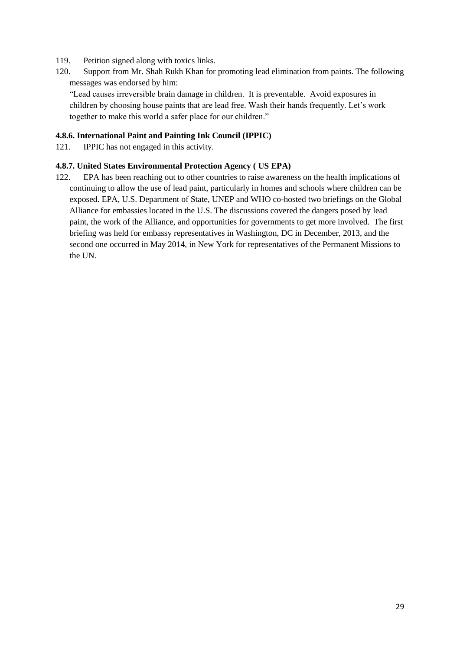- 119. Petition signed along with toxics links.
- 120. Support from Mr. Shah Rukh Khan for promoting lead elimination from paints. The following messages was endorsed by him:

"Lead causes irreversible brain damage in children. It is preventable. Avoid exposures in children by choosing house paints that are lead free. Wash their hands frequently. Let's work together to make this world a safer place for our children."

#### <span id="page-29-0"></span>**4.8.6. [International Paint and Painting Ink Council \(IPPIC\)](http://www.unep.org/chemicalsandwaste/Portals/9/Lead_Cadmium/docs/GAELP/Contributors%20Letters/IPPIC%20GAELP%20Contribution%20Letter.pdf)**

121. IPPIC has not engaged in this activity.

#### <span id="page-29-1"></span>**4.8.7. United States Environmental Protection Agency ( US EPA)**

122. EPA has been reaching out to other countries to raise awareness on the health implications of continuing to allow the use of lead paint, particularly in homes and schools where children can be exposed. EPA, U.S. Department of State, UNEP and WHO co-hosted two briefings on the Global Alliance for embassies located in the U.S. The discussions covered the dangers posed by lead paint, the work of the Alliance, and opportunities for governments to get more involved. The first briefing was held for embassy representatives in Washington, DC in December, 2013, and the second one occurred in May 2014, in New York for representatives of the Permanent Missions to the UN.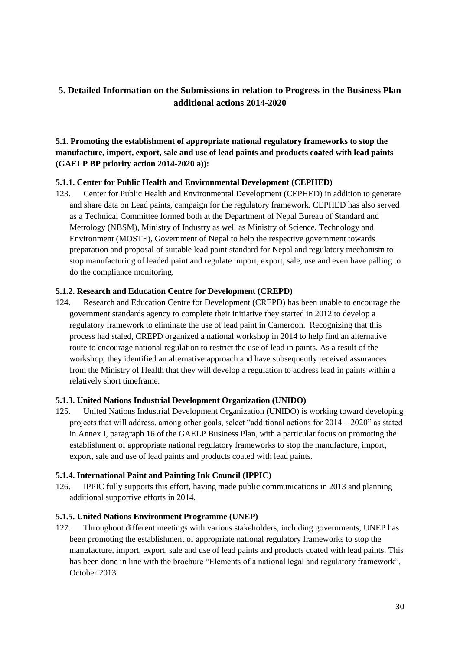# <span id="page-30-0"></span>**5. Detailed Information on the Submissions in relation to Progress in the Business Plan additional actions 2014-2020**

# <span id="page-30-1"></span>**5.1. Promoting the establishment of appropriate national regulatory frameworks to stop the manufacture, import, export, sale and use of lead paints and products coated with lead paints (GAELP BP priority action 2014-2020 a)):**

# <span id="page-30-2"></span>**5.1.1. Center for Public Health and Environmental Development (CEPHED)**

123. Center for Public Health and Environmental Development (CEPHED) in addition to generate and share data on Lead paints, campaign for the regulatory framework. CEPHED has also served as a Technical Committee formed both at the Department of Nepal Bureau of Standard and Metrology (NBSM), Ministry of Industry as well as Ministry of Science, Technology and Environment (MOSTE), Government of Nepal to help the respective government towards preparation and proposal of suitable lead paint standard for Nepal and regulatory mechanism to stop manufacturing of leaded paint and regulate import, export, sale, use and even have palling to do the compliance monitoring.

#### <span id="page-30-3"></span>**5.1.2. Research and Education Centre for Development (CREPD)**

124. Research and Education Centre for Development (CREPD) has been unable to encourage the government standards agency to complete their initiative they started in 2012 to develop a regulatory framework to eliminate the use of lead paint in Cameroon. Recognizing that this process had staled, CREPD organized a national workshop in 2014 to help find an alternative route to encourage national regulation to restrict the use of lead in paints. As a result of the workshop, they identified an alternative approach and have subsequently received assurances from the Ministry of Health that they will develop a regulation to address lead in paints within a relatively short timeframe.

#### <span id="page-30-4"></span>**5.1.3. United Nations Industrial Development Organization (UNIDO)**

125. United Nations Industrial Development Organization (UNIDO) is working toward developing projects that will address, among other goals, select "additional actions for 2014 – 2020" as stated in Annex I, paragraph 16 of the GAELP Business Plan, with a particular focus on promoting the establishment of appropriate national regulatory frameworks to stop the manufacture, import, export, sale and use of lead paints and products coated with lead paints.

#### <span id="page-30-5"></span>**5.1.4. [International Paint and Painting Ink Council \(IPPIC\)](http://www.unep.org/chemicalsandwaste/Portals/9/Lead_Cadmium/docs/GAELP/Contributors%20Letters/IPPIC%20GAELP%20Contribution%20Letter.pdf)**

126. IPPIC fully supports this effort, having made public communications in 2013 and planning additional supportive efforts in 2014.

#### <span id="page-30-6"></span>**5.1.5. United Nations Environment Programme (UNEP)**

127. Throughout different meetings with various stakeholders, including governments, UNEP has been promoting the establishment of appropriate national regulatory frameworks to stop the manufacture, import, export, sale and use of lead paints and products coated with lead paints. This has been done in line with the brochure "Elements of a national legal and regulatory framework", October 2013.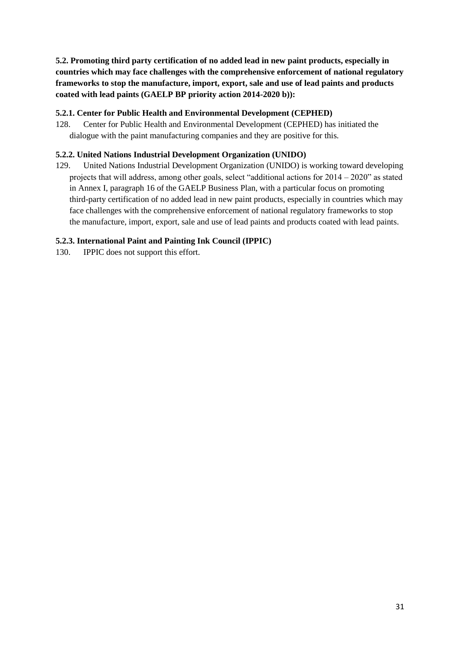<span id="page-31-0"></span>**5.2. Promoting third party certification of no added lead in new paint products, especially in countries which may face challenges with the comprehensive enforcement of national regulatory frameworks to stop the manufacture, import, export, sale and use of lead paints and products coated with lead paints (GAELP BP priority action 2014-2020 b)):**

#### <span id="page-31-1"></span>**5.2.1. Center for Public Health and Environmental Development (CEPHED)**

128. Center for Public Health and Environmental Development (CEPHED) has initiated the dialogue with the paint manufacturing companies and they are positive for this.

#### <span id="page-31-2"></span>**5.2.2. United Nations Industrial Development Organization (UNIDO)**

129. United Nations Industrial Development Organization (UNIDO) is working toward developing projects that will address, among other goals, select "additional actions for 2014 – 2020" as stated in Annex I, paragraph 16 of the GAELP Business Plan, with a particular focus on promoting third-party certification of no added lead in new paint products, especially in countries which may face challenges with the comprehensive enforcement of national regulatory frameworks to stop the manufacture, import, export, sale and use of lead paints and products coated with lead paints.

#### <span id="page-31-3"></span>**5.2.3. [International Paint and Painting Ink Council \(IPPIC\)](http://www.unep.org/chemicalsandwaste/Portals/9/Lead_Cadmium/docs/GAELP/Contributors%20Letters/IPPIC%20GAELP%20Contribution%20Letter.pdf)**

130. IPPIC does not support this effort.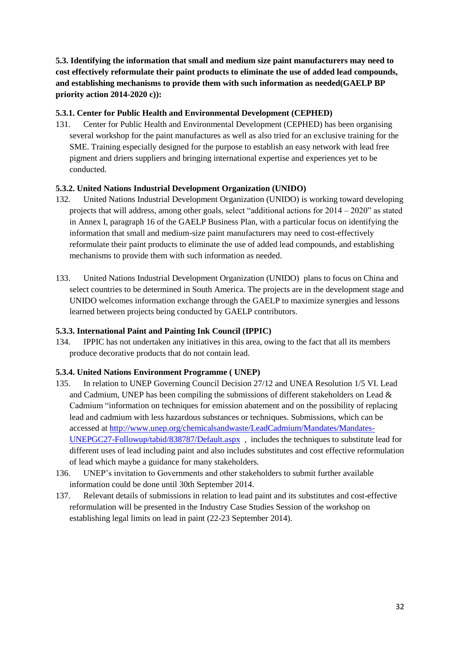<span id="page-32-0"></span>**5.3. Identifying the information that small and medium size paint manufacturers may need to cost effectively reformulate their paint products to eliminate the use of added lead compounds, and establishing mechanisms to provide them with such information as needed(GAELP BP priority action 2014-2020 c)):**

# <span id="page-32-1"></span>**5.3.1. Center for Public Health and Environmental Development (CEPHED)**

131. Center for Public Health and Environmental Development (CEPHED) has been organising several workshop for the paint manufactures as well as also tried for an exclusive training for the SME. Training especially designed for the purpose to establish an easy network with lead free pigment and driers suppliers and bringing international expertise and experiences yet to be conducted.

# <span id="page-32-2"></span>**5.3.2. United Nations Industrial Development Organization (UNIDO)**

- 132. United Nations Industrial Development Organization (UNIDO) is working toward developing projects that will address, among other goals, select "additional actions for 2014 – 2020" as stated in Annex I, paragraph 16 of the GAELP Business Plan, with a particular focus on identifying the information that small and medium-size paint manufacturers may need to cost-effectively reformulate their paint products to eliminate the use of added lead compounds, and establishing mechanisms to provide them with such information as needed.
- 133. United Nations Industrial Development Organization (UNIDO) plans to focus on China and select countries to be determined in South America. The projects are in the development stage and UNIDO welcomes information exchange through the GAELP to maximize synergies and lessons learned between projects being conducted by GAELP contributors.

#### <span id="page-32-3"></span>**5.3.3. [International Paint and Painting Ink Council \(IPPIC\)](http://www.unep.org/chemicalsandwaste/Portals/9/Lead_Cadmium/docs/GAELP/Contributors%20Letters/IPPIC%20GAELP%20Contribution%20Letter.pdf)**

134. IPPIC has not undertaken any initiatives in this area, owing to the fact that all its members produce decorative products that do not contain lead.

#### <span id="page-32-4"></span>**5.3.4. United Nations Environment Programme ( UNEP)**

- 135. In relation to UNEP Governing Council Decision 27/12 and UNEA Resolution 1/5 VI. Lead and Cadmium, UNEP has been compiling the submissions of different stakeholders on Lead  $\&$ Cadmium "information on techniques for emission abatement and on the possibility of replacing lead and cadmium with less hazardous substances or techniques. Submissions, which can be accessed at [http://www.unep.org/chemicalsandwaste/LeadCadmium/Mandates/Mandates-](http://www.unep.org/chemicalsandwaste/LeadCadmium/Mandates/Mandates-UNEPGC27-Followup/tabid/838787/Default.aspx)[UNEPGC27-Followup/tabid/838787/Default.aspx](http://www.unep.org/chemicalsandwaste/LeadCadmium/Mandates/Mandates-UNEPGC27-Followup/tabid/838787/Default.aspx) , includes the techniques to substitute lead for different uses of lead including paint and also includes substitutes and cost effective reformulation of lead which maybe a guidance for many stakeholders.
- 136. UNEP's invitation to Governments and other stakeholders to submit further available information could be done until 30th September 2014.
- 137. Relevant details of submissions in relation to lead paint and its substitutes and cost-effective reformulation will be presented in the Industry Case Studies Session of the workshop on establishing legal limits on lead in paint (22-23 September 2014).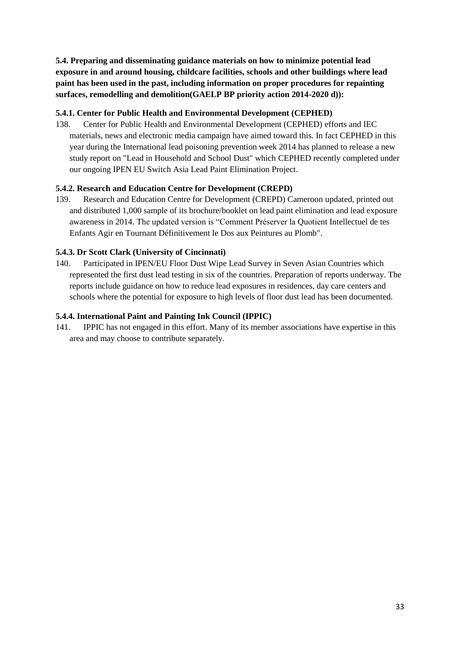<span id="page-33-0"></span>**5.4. Preparing and disseminating guidance materials on how to minimize potential lead exposure in and around housing, childcare facilities, schools and other buildings where lead paint has been used in the past, including information on proper procedures for repainting surfaces, remodelling and demolition(GAELP BP priority action 2014-2020 d)):**

# <span id="page-33-1"></span>**5.4.1. Center for Public Health and Environmental Development (CEPHED)**

138. Center for Public Health and Environmental Development (CEPHED) efforts and IEC materials, news and electronic media campaign have aimed toward this. In fact CEPHED in this year during the International lead poisoning prevention week 2014 has planned to release a new study report on "Lead in Household and School Dust" which CEPHED recently completed under our ongoing IPEN EU Switch Asia Lead Paint Elimination Project.

# <span id="page-33-2"></span>**5.4.2. Research and Education Centre for Development (CREPD)**

139. Research and Education Centre for Development (CREPD) Cameroon updated, printed out and distributed 1,000 sample of its brochure/booklet on lead paint elimination and lead exposure awareness in 2014. The updated version is "Comment Préserver la Quotient Intellectuel de tes Enfants Agir en Tournant Définitivement le Dos aux Peintures au Plomb".

# <span id="page-33-3"></span>**5.4.3. [Dr Scott Clark \(University of Cincinnati\)](http://www.unep.org/chemicalsandwaste/Portals/9/Lead_Cadmium/docs/GAELP/Contributors%20Letters/Scott_Clark_Univ_Cincinnati_Form_Letter.pdf)**

140. Participated in IPEN/EU Floor Dust Wipe Lead Survey in Seven Asian Countries which represented the first dust lead testing in six of the countries. Preparation of reports underway. The reports include guidance on how to reduce lead exposures in residences, day care centers and schools where the potential for exposure to high levels of floor dust lead has been documented.

# <span id="page-33-4"></span>**5.4.4. [International Paint and Painting Ink Council \(IPPIC\)](http://www.unep.org/chemicalsandwaste/Portals/9/Lead_Cadmium/docs/GAELP/Contributors%20Letters/IPPIC%20GAELP%20Contribution%20Letter.pdf)**

141. IPPIC has not engaged in this effort. Many of its member associations have expertise in this area and may choose to contribute separately.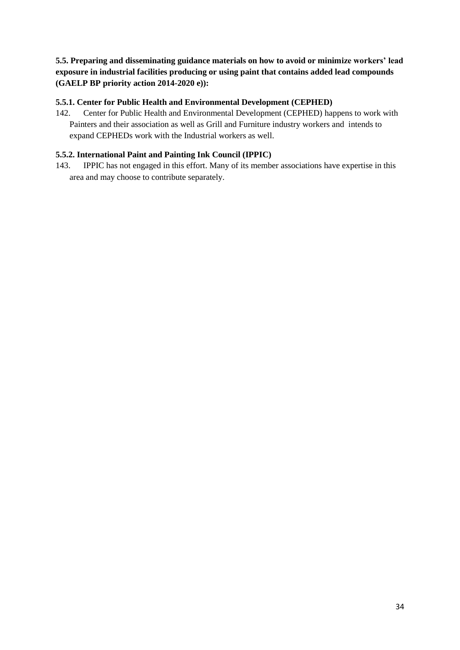<span id="page-34-0"></span>**5.5. Preparing and disseminating guidance materials on how to avoid or minimize workers' lead exposure in industrial facilities producing or using paint that contains added lead compounds (GAELP BP priority action 2014-2020 e)):**

# <span id="page-34-1"></span>**5.5.1. Center for Public Health and Environmental Development (CEPHED)**

142. Center for Public Health and Environmental Development (CEPHED) happens to work with Painters and their association as well as Grill and Furniture industry workers and intends to expand CEPHEDs work with the Industrial workers as well.

#### <span id="page-34-2"></span>**5.5.2. [International Paint and Painting Ink Council \(IPPIC\)](http://www.unep.org/chemicalsandwaste/Portals/9/Lead_Cadmium/docs/GAELP/Contributors%20Letters/IPPIC%20GAELP%20Contribution%20Letter.pdf)**

143. IPPIC has not engaged in this effort. Many of its member associations have expertise in this area and may choose to contribute separately.